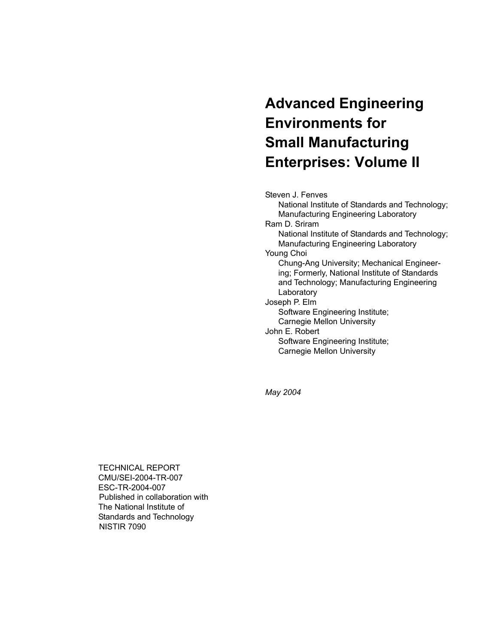# **Advanced Engineering Environments for Small Manufacturing Enterprises: Volume II**

Steven J. Fenves National Institute of Standards and Technology; Manufacturing Engineering Laboratory Ram D. Sriram National Institute of Standards and Technology; Manufacturing Engineering Laboratory Young Choi Chung-Ang University; Mechanical Engineering; Formerly, National Institute of Standards and Technology; Manufacturing Engineering Laboratory Joseph P. Elm Software Engineering Institute; Carnegie Mellon University John E. Robert Software Engineering Institute; Carnegie Mellon University

*May 2004* 

TECHNICAL REPORT CMU/SEI-2004-TR-007 ESC-TR-2004-007 Published in collaboration with The National Institute of Standards and Technology NISTIR 7090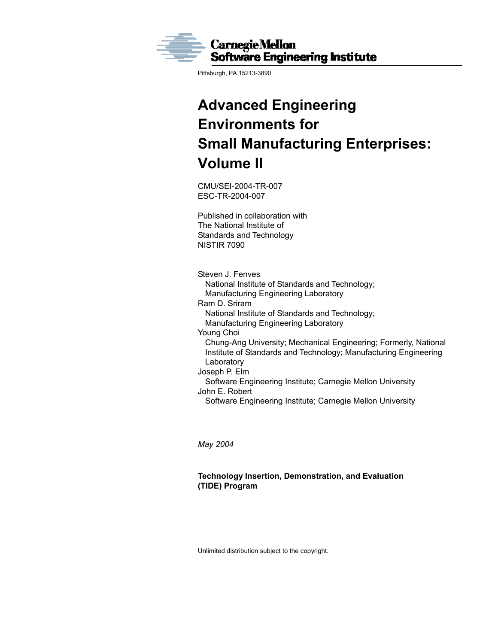

Pittsburgh, PA 15213-3890

# **Advanced Engineering Environments for Small Manufacturing Enterprises: Volume II**

CMU/SEI-2004-TR-007 ESC-TR-2004-007

Published in collaboration with The National Institute of Standards and Technology NISTIR 7090

Steven J. Fenves National Institute of Standards and Technology; Manufacturing Engineering Laboratory Ram D. Sriram National Institute of Standards and Technology; Manufacturing Engineering Laboratory Young Choi Chung-Ang University; Mechanical Engineering; Formerly, National Institute of Standards and Technology; Manufacturing Engineering Laboratory Joseph P. Elm Software Engineering Institute; Carnegie Mellon University John E. Robert

Software Engineering Institute; Carnegie Mellon University

*May 2004* 

#### **Technology Insertion, Demonstration, and Evaluation (TIDE) Program**

Unlimited distribution subject to the copyright.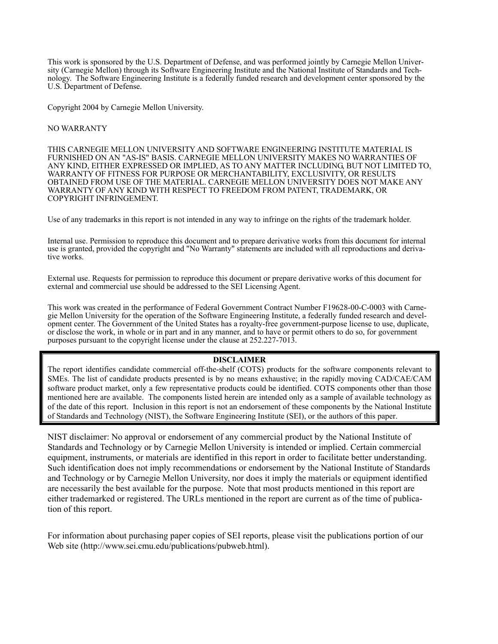This work is sponsored by the U.S. Department of Defense, and was performed jointly by Carnegie Mellon University (Carnegie Mellon) through its Software Engineering Institute and the National Institute of Standards and Technology. The Software Engineering Institute is a federally funded research and development center sponsored by the U.S. Department of Defense.

Copyright 2004 by Carnegie Mellon University.

#### NO WARRANTY

THIS CARNEGIE MELLON UNIVERSITY AND SOFTWARE ENGINEERING INSTITUTE MATERIAL IS FURNISHED ON AN "AS-IS" BASIS. CARNEGIE MELLON UNIVERSITY MAKES NO WARRANTIES OF ANY KIND, EITHER EXPRESSED OR IMPLIED, AS TO ANY MATTER INCLUDING, BUT NOT LIMITED TO, WARRANTY OF FITNESS FOR PURPOSE OR MERCHANTABILITY, EXCLUSIVITY, OR RESULTS OBTAINED FROM USE OF THE MATERIAL. CARNEGIE MELLON UNIVERSITY DOES NOT MAKE ANY WARRANTY OF ANY KIND WITH RESPECT TO FREEDOM FROM PATENT, TRADEMARK, OR COPYRIGHT INFRINGEMENT.

Use of any trademarks in this report is not intended in any way to infringe on the rights of the trademark holder.

Internal use. Permission to reproduce this document and to prepare derivative works from this document for internal use is granted, provided the copyright and "No Warranty" statements are included with all reproductions and derivative works.

External use. Requests for permission to reproduce this document or prepare derivative works of this document for external and commercial use should be addressed to the SEI Licensing Agent.

This work was created in the performance of Federal Government Contract Number F19628-00-C-0003 with Carnegie Mellon University for the operation of the Software Engineering Institute, a federally funded research and development center. The Government of the United States has a royalty-free government-purpose license to use, duplicate, or disclose the work, in whole or in part and in any manner, and to have or permit others to do so, for government purposes pursuant to the copyright license under the clause at 252.227-7013.

#### **DISCLAIMER**

The report identifies candidate commercial off-the-shelf (COTS) products for the software components relevant to SMEs. The list of candidate products presented is by no means exhaustive; in the rapidly moving CAD/CAE/CAM software product market, only a few representative products could be identified. COTS components other than those mentioned here are available. The components listed herein are intended only as a sample of available technology as of the date of this report. Inclusion in this report is not an endorsement of these components by the National Institute of Standards and Technology (NIST), the Software Engineering Institute (SEI), or the authors of this paper.

NIST disclaimer: No approval or endorsement of any commercial product by the National Institute of Standards and Technology or by Carnegie Mellon University is intended or implied. Certain commercial equipment, instruments, or materials are identified in this report in order to facilitate better understanding. Such identification does not imply recommendations or endorsement by the National Institute of Standards and Technology or by Carnegie Mellon University, nor does it imply the materials or equipment identified are necessarily the best available for the purpose. Note that most products mentioned in this report are either trademarked or registered. The URLs mentioned in the report are current as of the time of publication of this report.

For information about purchasing paper copies of SEI reports, please visit the publications portion of our Web site (http://www.sei.cmu.edu/publications/pubweb.html).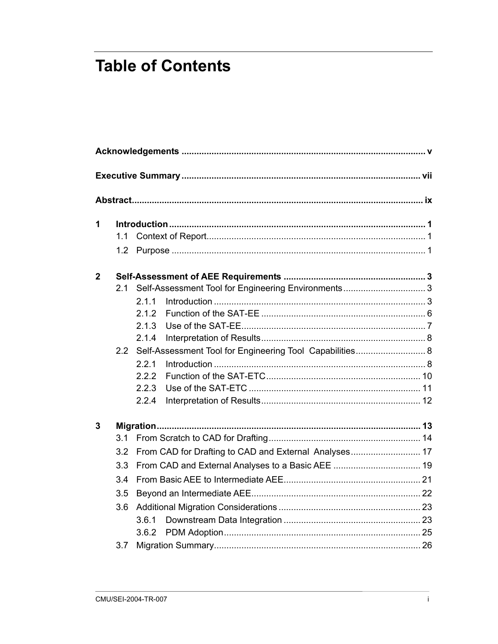# **Table of Contents**

| 1              |     |                |                                                              |  |
|----------------|-----|----------------|--------------------------------------------------------------|--|
|                | 1.1 |                |                                                              |  |
|                |     |                |                                                              |  |
| $\overline{2}$ |     |                |                                                              |  |
|                | 2.1 |                |                                                              |  |
|                |     | 211            |                                                              |  |
|                |     | 2.1.2          |                                                              |  |
|                |     | 2.1.3          |                                                              |  |
|                |     | 2.1.4          |                                                              |  |
|                |     |                | 2.2 Self-Assessment Tool for Engineering Tool Capabilities 8 |  |
|                |     | 2.2.1          |                                                              |  |
|                |     | 2.2.2<br>2.2.3 |                                                              |  |
|                |     | 2.2.4          |                                                              |  |
|                |     |                |                                                              |  |
| 3              |     |                |                                                              |  |
|                | 3.1 |                |                                                              |  |
|                | 3.2 |                |                                                              |  |
|                | 3.3 |                |                                                              |  |
|                | 3.4 |                |                                                              |  |
|                | 3.5 |                |                                                              |  |
|                | 3.6 |                |                                                              |  |
|                |     | 3.6.1          |                                                              |  |
|                |     | 3.6.2          |                                                              |  |
|                | 3.7 |                |                                                              |  |
|                |     |                |                                                              |  |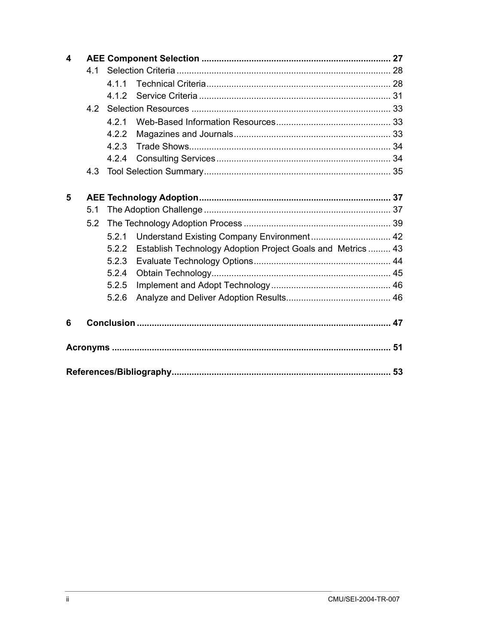| $\overline{\mathbf{A}}$ |     |       |                                                             |  |
|-------------------------|-----|-------|-------------------------------------------------------------|--|
|                         |     |       |                                                             |  |
|                         |     | 4 1 1 |                                                             |  |
|                         |     | 4.1.2 |                                                             |  |
|                         | 4.2 |       |                                                             |  |
|                         |     | 4 2 1 |                                                             |  |
|                         |     | 4.2.2 |                                                             |  |
|                         |     | 4.2.3 |                                                             |  |
|                         |     | 4.2.4 |                                                             |  |
|                         | 4.3 |       |                                                             |  |
|                         |     |       |                                                             |  |
| 5                       |     |       |                                                             |  |
|                         | 5.1 |       |                                                             |  |
|                         | 5.2 |       |                                                             |  |
|                         |     | 5.2.1 | Understand Existing Company Environment 42                  |  |
|                         |     | 5.2.2 | Establish Technology Adoption Project Goals and Metrics  43 |  |
|                         |     | 5.2.3 |                                                             |  |
|                         |     | 5.2.4 |                                                             |  |
|                         |     | 5.2.5 |                                                             |  |
|                         |     | 5.2.6 |                                                             |  |
| 6                       |     |       |                                                             |  |
|                         |     |       |                                                             |  |
|                         |     |       |                                                             |  |
|                         |     |       |                                                             |  |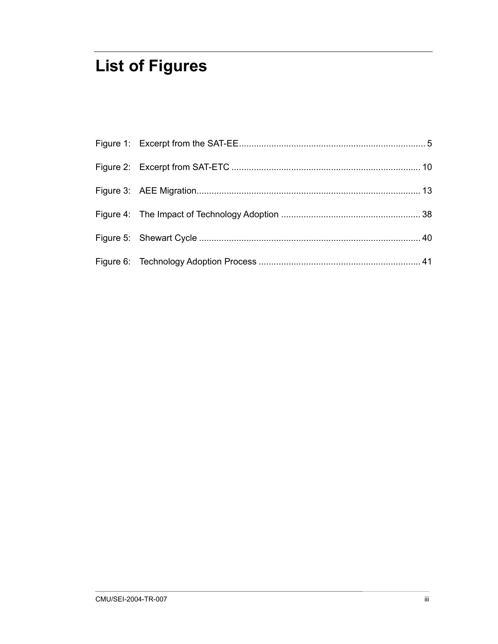# **List of Figures**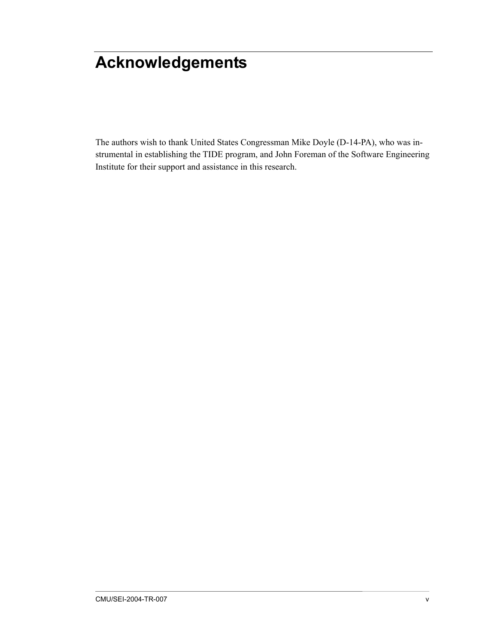# **Acknowledgements**

The authors wish to thank United States Congressman Mike Doyle (D-14-PA), who was instrumental in establishing the TIDE program, and John Foreman of the Software Engineering Institute for their support and assistance in this research.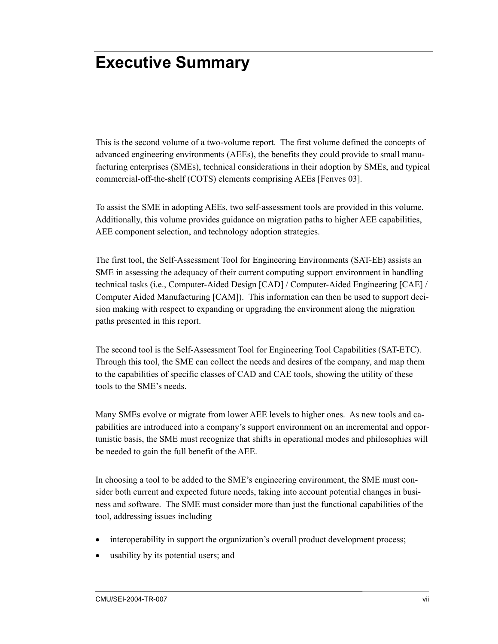# **Executive Summary**

This is the second volume of a two-volume report. The first volume defined the concepts of advanced engineering environments (AEEs), the benefits they could provide to small manufacturing enterprises (SMEs), technical considerations in their adoption by SMEs, and typical commercial-off-the-shelf (COTS) elements comprising AEEs [Fenves 03].

To assist the SME in adopting AEEs, two self-assessment tools are provided in this volume. Additionally, this volume provides guidance on migration paths to higher AEE capabilities, AEE component selection, and technology adoption strategies.

The first tool, the Self-Assessment Tool for Engineering Environments (SAT-EE) assists an SME in assessing the adequacy of their current computing support environment in handling technical tasks (i.e., Computer-Aided Design [CAD] / Computer-Aided Engineering [CAE] / Computer Aided Manufacturing [CAM]). This information can then be used to support decision making with respect to expanding or upgrading the environment along the migration paths presented in this report.

The second tool is the Self-Assessment Tool for Engineering Tool Capabilities (SAT-ETC). Through this tool, the SME can collect the needs and desires of the company, and map them to the capabilities of specific classes of CAD and CAE tools, showing the utility of these tools to the SME's needs.

Many SMEs evolve or migrate from lower AEE levels to higher ones. As new tools and capabilities are introduced into a company's support environment on an incremental and opportunistic basis, the SME must recognize that shifts in operational modes and philosophies will be needed to gain the full benefit of the AEE.

In choosing a tool to be added to the SME's engineering environment, the SME must consider both current and expected future needs, taking into account potential changes in business and software. The SME must consider more than just the functional capabilities of the tool, addressing issues including

- interoperability in support the organization's overall product development process;
- usability by its potential users; and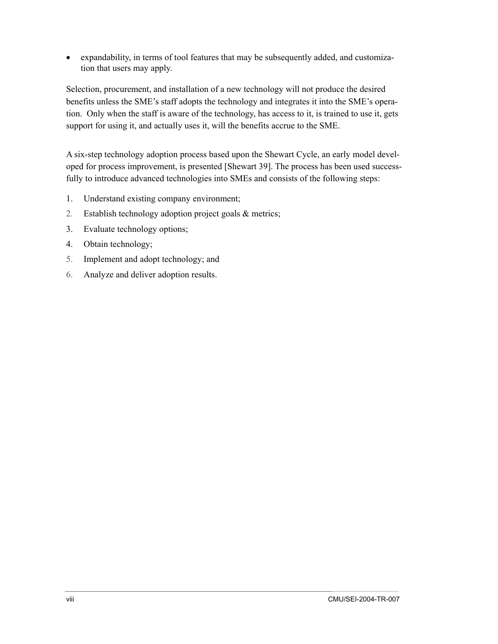• expandability, in terms of tool features that may be subsequently added, and customization that users may apply.

Selection, procurement, and installation of a new technology will not produce the desired benefits unless the SME's staff adopts the technology and integrates it into the SME's operation. Only when the staff is aware of the technology, has access to it, is trained to use it, gets support for using it, and actually uses it, will the benefits accrue to the SME.

A six-step technology adoption process based upon the Shewart Cycle, an early model developed for process improvement, is presented [Shewart 39]. The process has been used successfully to introduce advanced technologies into SMEs and consists of the following steps:

- 1. Understand existing company environment;
- 2. Establish technology adoption project goals & metrics;
- 3. Evaluate technology options;
- 4. Obtain technology;
- 5. Implement and adopt technology; and
- 6. Analyze and deliver adoption results.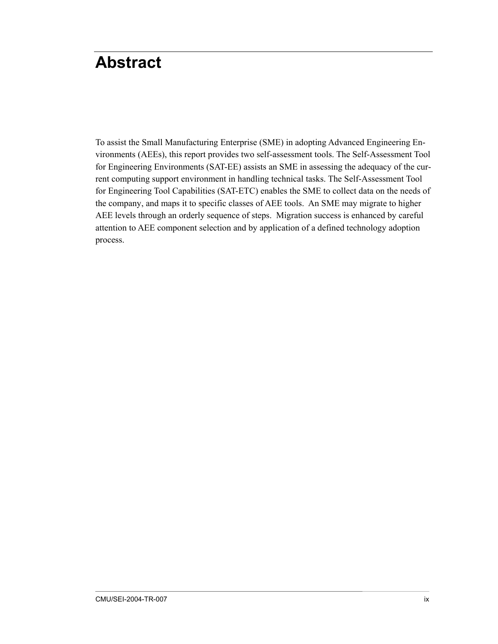# **Abstract**

To assist the Small Manufacturing Enterprise (SME) in adopting Advanced Engineering Environments (AEEs), this report provides two self-assessment tools. The Self-Assessment Tool for Engineering Environments (SAT-EE) assists an SME in assessing the adequacy of the current computing support environment in handling technical tasks. The Self-Assessment Tool for Engineering Tool Capabilities (SAT-ETC) enables the SME to collect data on the needs of the company, and maps it to specific classes of AEE tools. An SME may migrate to higher AEE levels through an orderly sequence of steps. Migration success is enhanced by careful attention to AEE component selection and by application of a defined technology adoption process.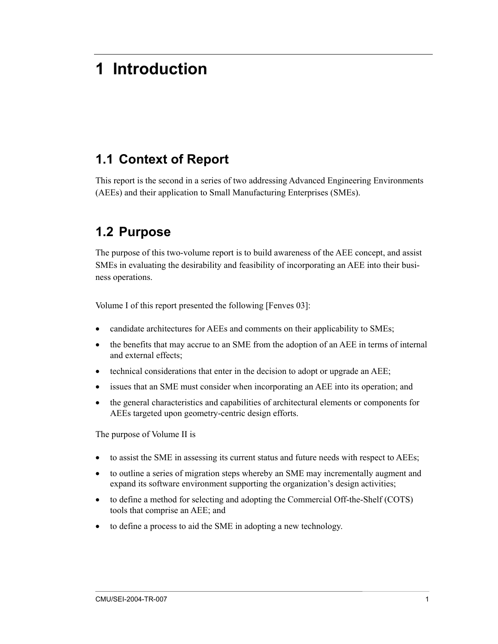# **1 Introduction**

### **1.1 Context of Report**

This report is the second in a series of two addressing Advanced Engineering Environments (AEEs) and their application to Small Manufacturing Enterprises (SMEs).

### **1.2 Purpose**

The purpose of this two-volume report is to build awareness of the AEE concept, and assist SMEs in evaluating the desirability and feasibility of incorporating an AEE into their business operations.

Volume I of this report presented the following [Fenves 03]:

- candidate architectures for AEEs and comments on their applicability to SMEs;
- the benefits that may accrue to an SME from the adoption of an AEE in terms of internal and external effects;
- technical considerations that enter in the decision to adopt or upgrade an AEE;
- issues that an SME must consider when incorporating an AEE into its operation; and
- the general characteristics and capabilities of architectural elements or components for AEEs targeted upon geometry-centric design efforts.

The purpose of Volume II is

- to assist the SME in assessing its current status and future needs with respect to AEEs;
- to outline a series of migration steps whereby an SME may incrementally augment and expand its software environment supporting the organization's design activities;
- to define a method for selecting and adopting the Commercial Off-the-Shelf (COTS) tools that comprise an AEE; and
- to define a process to aid the SME in adopting a new technology.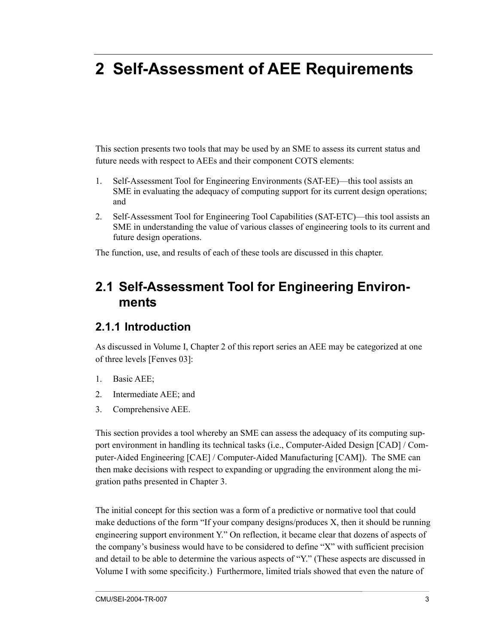# **2 Self-Assessment of AEE Requirements**

This section presents two tools that may be used by an SME to assess its current status and future needs with respect to AEEs and their component COTS elements:

- 1. Self-Assessment Tool for Engineering Environments (SAT-EE)—this tool assists an SME in evaluating the adequacy of computing support for its current design operations; and
- 2. Self-Assessment Tool for Engineering Tool Capabilities (SAT-ETC)—this tool assists an SME in understanding the value of various classes of engineering tools to its current and future design operations.

The function, use, and results of each of these tools are discussed in this chapter.

### **2.1 Self-Assessment Tool for Engineering Environments**

#### **2.1.1 Introduction**

As discussed in Volume I, Chapter 2 of this report series an AEE may be categorized at one of three levels [Fenves 03]:

- 1. Basic AEE;
- 2. Intermediate AEE; and
- 3. Comprehensive AEE.

This section provides a tool whereby an SME can assess the adequacy of its computing support environment in handling its technical tasks (i.e., Computer-Aided Design [CAD] / Computer-Aided Engineering [CAE] / Computer-Aided Manufacturing [CAM]). The SME can then make decisions with respect to expanding or upgrading the environment along the migration paths presented in Chapter 3.

The initial concept for this section was a form of a predictive or normative tool that could make deductions of the form "If your company designs/produces X, then it should be running engineering support environment Y." On reflection, it became clear that dozens of aspects of the company's business would have to be considered to define "X" with sufficient precision and detail to be able to determine the various aspects of "Y." (These aspects are discussed in Volume I with some specificity.) Furthermore, limited trials showed that even the nature of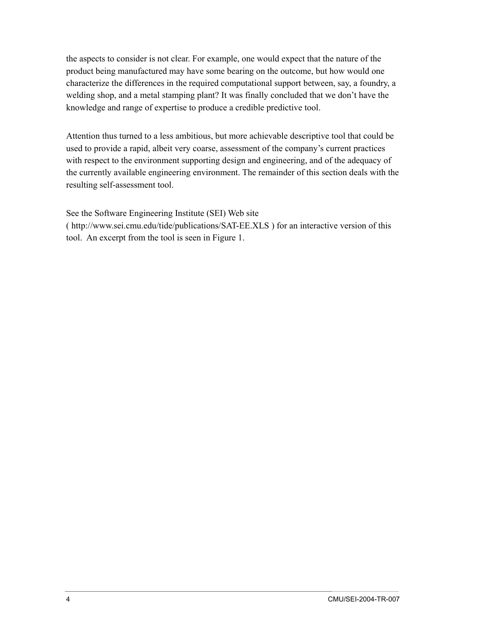the aspects to consider is not clear. For example, one would expect that the nature of the product being manufactured may have some bearing on the outcome, but how would one characterize the differences in the required computational support between, say, a foundry, a welding shop, and a metal stamping plant? It was finally concluded that we don't have the knowledge and range of expertise to produce a credible predictive tool.

Attention thus turned to a less ambitious, but more achievable descriptive tool that could be used to provide a rapid, albeit very coarse, assessment of the company's current practices with respect to the environment supporting design and engineering, and of the adequacy of the currently available engineering environment. The remainder of this section deals with the resulting self-assessment tool.

See the Software Engineering Institute (SEI) Web site ( http://www.sei.cmu.edu/tide/publications/SAT-EE.XLS ) for an interactive version of this tool. An excerpt from the tool is seen in Figure 1.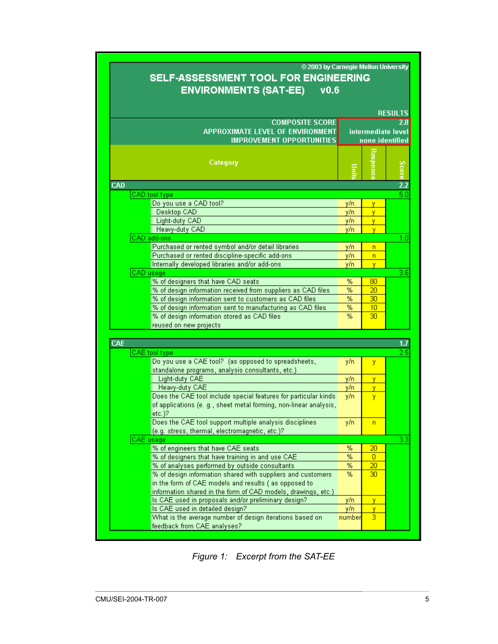| <b>SELF-ASSESSMENT TOOL FOR ENGINEERING</b><br>V0.6                                                                                               |                 |                                       |
|---------------------------------------------------------------------------------------------------------------------------------------------------|-----------------|---------------------------------------|
| <b>ENVIRONMENTS (SAT-EE)</b>                                                                                                                      |                 |                                       |
|                                                                                                                                                   |                 | <b>RESULTS</b>                        |
| <b>COMPOSITE SCORE</b><br>APPROXIMATE LEVEL OF ENVIRONMENT<br><b>IMPROVEMENT OPPORTUNITIES</b>                                                    |                 | intermediate level<br>none identified |
| Category                                                                                                                                          | nints<br>Si     | Response                              |
|                                                                                                                                                   |                 |                                       |
| CAD tool type                                                                                                                                     |                 |                                       |
| Do you use a CAD tool?                                                                                                                            | y/n             | Y.                                    |
| Desktop CAD                                                                                                                                       | y/n             | y.                                    |
| Light-duty CAD                                                                                                                                    | y/n             | y.                                    |
| Heavy-duty CAD<br>CAD add-ons                                                                                                                     | γ/n             | V.                                    |
| Purchased or rented symbol and/or detail libraries                                                                                                | γ/n             | 'n                                    |
| Purchased or rented discipline-specific add-ons                                                                                                   | y/n             | n.                                    |
| Internally developed libraries and/or add-ons                                                                                                     | γ/n             | V.                                    |
| CAD usage                                                                                                                                         |                 |                                       |
| % of designers that have CAD seats                                                                                                                | %               | 80                                    |
| % of design information received from suppliers as CAD files                                                                                      | %               | 20                                    |
| % of design information sent to customers as CAD files                                                                                            | %               | 30                                    |
| % of design information sent to manufacturing as CAD files                                                                                        | %               | 10                                    |
| % of design information stored as CAD files                                                                                                       | %               | 30                                    |
| reused on new projects                                                                                                                            |                 |                                       |
|                                                                                                                                                   |                 |                                       |
| CAE tool type                                                                                                                                     |                 |                                       |
| Do you use a CAE tool? (as opposed to spreadsheets,<br>standalone programs, analysis consultants, etc.)                                           | γ/n             | y                                     |
| Light-duty CAE                                                                                                                                    | y/n             | V.                                    |
| Heavy-duty CAE                                                                                                                                    | y/n             | y.                                    |
| Does the CAE tool include special features for particular kinds<br>of applications (e. g., sheet metal forming, non-linear analysis,<br>$etc.$ )? | y/n             | Ÿ                                     |
| Does the CAE tool support multiple analysis disciplines<br>(e.g. stress, thermal, electromagnetic, etc.)?                                         | y/n             | n                                     |
| CAE usage                                                                                                                                         |                 |                                       |
| % of engineers that have CAE seats                                                                                                                | %               | 20                                    |
| % of designers that have training in and use CAE                                                                                                  | $\overline{\%}$ | $\overline{0}$                        |
| % of analyses performed by outside consultants                                                                                                    | $\overline{\%}$ | 20                                    |
| % of design information shared with suppliers and customers<br>in the form of CAE models and results (as opposed to                               | %               | 30                                    |
| information shared in the form of CAD models, drawings, etc.)                                                                                     |                 |                                       |
| Is CAE used in proposals and/or preliminary design?                                                                                               | y/n.            | y                                     |
| Is CAE used in detailed design?                                                                                                                   | y/n.            | y.                                    |
| What is the average number of design iterations based on                                                                                          | number          | 3.                                    |
| feedback from CAE analyses?                                                                                                                       |                 |                                       |

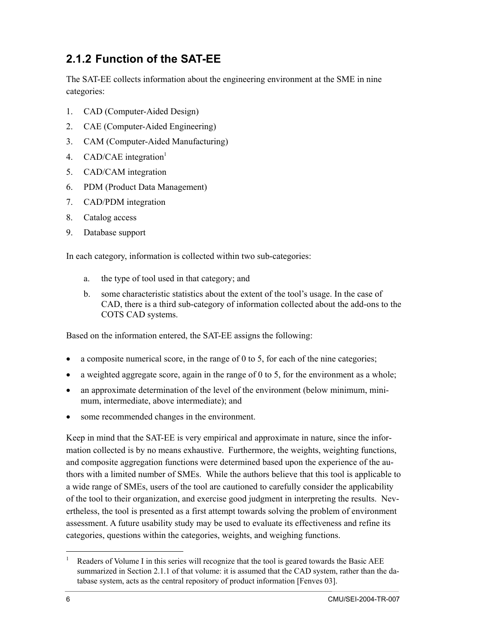### **2.1.2 Function of the SAT-EE**

The SAT-EE collects information about the engineering environment at the SME in nine categories:

- 1. CAD (Computer-Aided Design)
- 2. CAE (Computer-Aided Engineering)
- 3. CAM (Computer-Aided Manufacturing)
- 4.  $CAD/CAE$  integration<sup>1</sup>
- 5. CAD/CAM integration
- 6. PDM (Product Data Management)
- 7. CAD/PDM integration
- 8. Catalog access
- 9. Database support

In each category, information is collected within two sub-categories:

- a. the type of tool used in that category; and
- b. some characteristic statistics about the extent of the tool's usage. In the case of CAD, there is a third sub-category of information collected about the add-ons to the COTS CAD systems.

Based on the information entered, the SAT-EE assigns the following:

- $\bullet$  a composite numerical score, in the range of 0 to 5, for each of the nine categories;
- a weighted aggregate score, again in the range of 0 to 5, for the environment as a whole;
- an approximate determination of the level of the environment (below minimum, minimum, intermediate, above intermediate); and
- some recommended changes in the environment.

Keep in mind that the SAT-EE is very empirical and approximate in nature, since the information collected is by no means exhaustive. Furthermore, the weights, weighting functions, and composite aggregation functions were determined based upon the experience of the authors with a limited number of SMEs. While the authors believe that this tool is applicable to a wide range of SMEs, users of the tool are cautioned to carefully consider the applicability of the tool to their organization, and exercise good judgment in interpreting the results. Nevertheless, the tool is presented as a first attempt towards solving the problem of environment assessment. A future usability study may be used to evaluate its effectiveness and refine its categories, questions within the categories, weights, and weighing functions.

1

<sup>1</sup> Readers of Volume I in this series will recognize that the tool is geared towards the Basic AEE summarized in Section 2.1.1 of that volume: it is assumed that the CAD system, rather than the database system, acts as the central repository of product information [Fenves 03].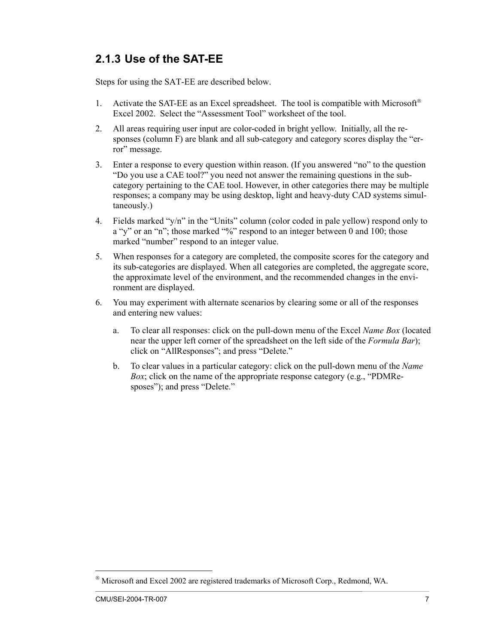### **2.1.3 Use of the SAT-EE**

Steps for using the SAT-EE are described below.

- 1. Activate the SAT-EE as an Excel spreadsheet. The tool is compatible with Microsoft<sup>®</sup> Excel 2002. Select the "Assessment Tool" worksheet of the tool.
- 2. All areas requiring user input are color-coded in bright yellow. Initially, all the responses (column F) are blank and all sub-category and category scores display the "error" message.
- 3. Enter a response to every question within reason. (If you answered "no" to the question "Do you use a CAE tool?" you need not answer the remaining questions in the subcategory pertaining to the CAE tool. However, in other categories there may be multiple responses; a company may be using desktop, light and heavy-duty CAD systems simultaneously.)
- 4. Fields marked "y/n" in the "Units" column (color coded in pale yellow) respond only to a "y" or an "n"; those marked "%" respond to an integer between 0 and 100; those marked "number" respond to an integer value.
- 5. When responses for a category are completed, the composite scores for the category and its sub-categories are displayed. When all categories are completed, the aggregate score, the approximate level of the environment, and the recommended changes in the environment are displayed.
- 6. You may experiment with alternate scenarios by clearing some or all of the responses and entering new values:
	- a. To clear all responses: click on the pull-down menu of the Excel *Name Box* (located near the upper left corner of the spreadsheet on the left side of the *Formula Bar*); click on "AllResponses"; and press "Delete."
	- b. To clear values in a particular category: click on the pull-down menu of the *Name Box*; click on the name of the appropriate response category (e.g., "PDMResposes"); and press "Delete."

<u>.</u>

Microsoft and Excel 2002 are registered trademarks of Microsoft Corp., Redmond, WA.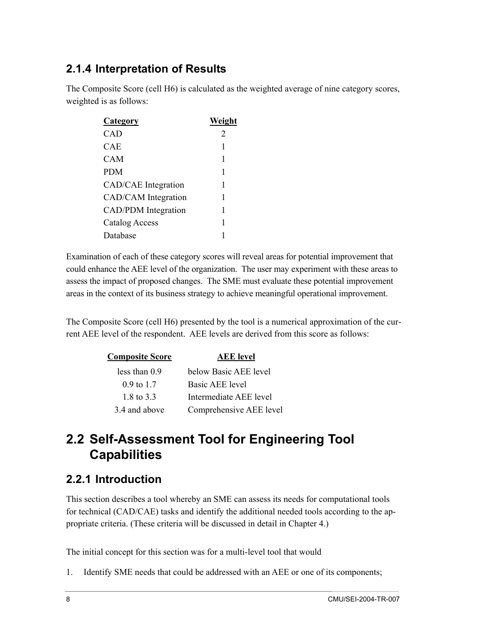### **2.1.4 Interpretation of Results**

The Composite Score (cell H6) is calculated as the weighted average of nine category scores, weighted is as follows:

| Category                   | Weight |
|----------------------------|--------|
| CAD                        | 2      |
| <b>CAE</b>                 | 1      |
| <b>CAM</b>                 | 1      |
| <b>PDM</b>                 | 1      |
| CAD/CAE Integration        | 1      |
| CAD/CAM Integration        | 1      |
| <b>CAD/PDM</b> Integration | 1      |
| Catalog Access             | 1      |
| Database                   | 1      |

Examination of each of these category scores will reveal areas for potential improvement that could enhance the AEE level of the organization. The user may experiment with these areas to assess the impact of proposed changes. The SME must evaluate these potential improvement areas in the context of its business strategy to achieve meaningful operational improvement.

The Composite Score (cell H6) presented by the tool is a numerical approximation of the current AEE level of the respondent. AEE levels are derived from this score as follows:

| <b>Composite Score</b> | <b>AEE</b> level        |
|------------------------|-------------------------|
| less than $0.9$        | below Basic AEE level   |
| $0.9 \text{ to } 1.7$  | <b>Basic AEE level</b>  |
| 1.8 to 3.3             | Intermediate AEE level  |
| 3.4 and above          | Comprehensive AEE level |

### **2.2 Self-Assessment Tool for Engineering Tool Capabilities**

### **2.2.1 Introduction**

This section describes a tool whereby an SME can assess its needs for computational tools for technical (CAD/CAE) tasks and identify the additional needed tools according to the appropriate criteria. (These criteria will be discussed in detail in Chapter 4.)

The initial concept for this section was for a multi-level tool that would

1. Identify SME needs that could be addressed with an AEE or one of its components;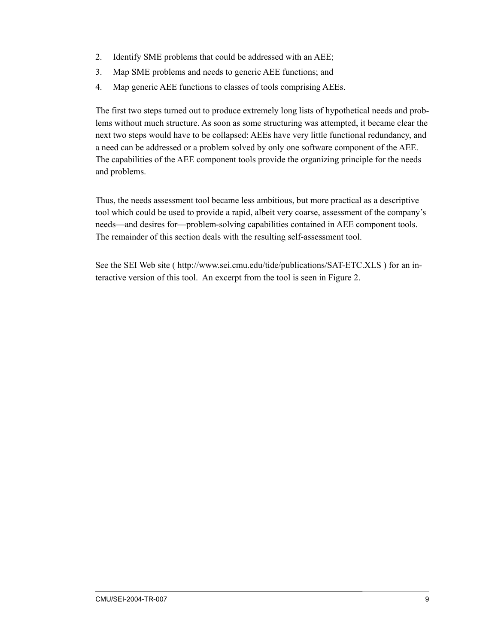- 2. Identify SME problems that could be addressed with an AEE;
- 3. Map SME problems and needs to generic AEE functions; and
- 4. Map generic AEE functions to classes of tools comprising AEEs.

The first two steps turned out to produce extremely long lists of hypothetical needs and problems without much structure. As soon as some structuring was attempted, it became clear the next two steps would have to be collapsed: AEEs have very little functional redundancy, and a need can be addressed or a problem solved by only one software component of the AEE. The capabilities of the AEE component tools provide the organizing principle for the needs and problems.

Thus, the needs assessment tool became less ambitious, but more practical as a descriptive tool which could be used to provide a rapid, albeit very coarse, assessment of the company's needs—and desires for—problem-solving capabilities contained in AEE component tools. The remainder of this section deals with the resulting self-assessment tool.

See the SEI Web site ( http://www.sei.cmu.edu/tide/publications/SAT-ETC.XLS ) for an interactive version of this tool. An excerpt from the tool is seen in Figure 2.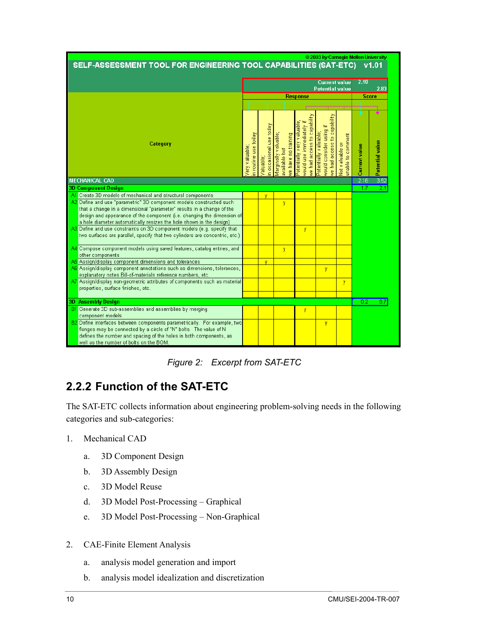| SELF-ASSESSMENT TOOL FOR ENGINEERING TOOL CAPABILITIES (SAT-ETC)                                                                                                                                                                                                                              |                                      |                                       |                                                              |                                                                                    | @ 2003 by Carnegie Mellon University                                                 |                                      |               | V1.01           |
|-----------------------------------------------------------------------------------------------------------------------------------------------------------------------------------------------------------------------------------------------------------------------------------------------|--------------------------------------|---------------------------------------|--------------------------------------------------------------|------------------------------------------------------------------------------------|--------------------------------------------------------------------------------------|--------------------------------------|---------------|-----------------|
|                                                                                                                                                                                                                                                                                               |                                      |                                       |                                                              |                                                                                    | <b>Current value</b><br><b>Potential value</b>                                       |                                      | 2.10          | 2.83            |
|                                                                                                                                                                                                                                                                                               |                                      |                                       |                                                              | <b>Response</b>                                                                    |                                                                                      |                                      | <b>Score</b>  |                 |
|                                                                                                                                                                                                                                                                                               |                                      |                                       |                                                              |                                                                                    |                                                                                      |                                      |               |                 |
| Category                                                                                                                                                                                                                                                                                      | n routine use today<br>/ery valuable | use today<br>n occasional<br>aluable; | we have no training<br>Marginally valuable;<br>available but | ve had access to capability<br>would use immediately if<br>eldsuls v very valuable | access to capability<br>æ<br>would consider using<br>Potentially valuable;<br>we had | unable to comment<br>Not valuable or | Current value | Potential value |
| <b>MECHANICAL CAD</b>                                                                                                                                                                                                                                                                         |                                      |                                       |                                                              |                                                                                    |                                                                                      |                                      | 2.16          | 3.52            |
| <b>3D Component Design</b>                                                                                                                                                                                                                                                                    |                                      |                                       |                                                              |                                                                                    |                                                                                      |                                      | 1.7           | -2.1            |
| A1 Create 3D models of mechanical and structural components                                                                                                                                                                                                                                   |                                      | v                                     |                                                              |                                                                                    |                                                                                      |                                      |               |                 |
| A2 Define and use "parametric" 3D component models constructed such<br>that a change in a dimensional "parameter" results in a change of the<br>design and appearance of the component (i.e. changing the dimension of<br>a hole diameter automatically resizes the hole shown in the design) |                                      |                                       | Y                                                            |                                                                                    |                                                                                      |                                      |               |                 |
| A3 Define and use constraints on 3D component models (e.g. specify that<br>two surfaces are parallel, specify that two cylinders are concentric, etc.)                                                                                                                                        |                                      |                                       |                                                              | Ÿ                                                                                  |                                                                                      |                                      |               |                 |
| A4 Compose component models using saved features, catalog entries, and<br>other components                                                                                                                                                                                                    |                                      |                                       | Y.                                                           |                                                                                    |                                                                                      |                                      |               |                 |
| A5 Assign/display component dimensions and tolerances                                                                                                                                                                                                                                         |                                      | $\mathbf{v}$                          |                                                              |                                                                                    |                                                                                      |                                      |               |                 |
| A6 Assign/display component annotations such as dimensions, tolerances,<br>explanatory notes Bill-of-materials reference numbers, etc.                                                                                                                                                        |                                      |                                       |                                                              |                                                                                    | Y                                                                                    |                                      |               |                 |
| A7 Assign/display non-geometric attributes of components such as material<br>properties, surface finishes, etc.                                                                                                                                                                               |                                      |                                       |                                                              |                                                                                    |                                                                                      | Ÿ                                    |               |                 |
| <b>3D</b> Assembly Design                                                                                                                                                                                                                                                                     |                                      |                                       |                                                              |                                                                                    |                                                                                      |                                      | $0.2 - 1$     | 67              |
| B1 Generate 3D sub-assemblies and assemblies by merging<br>component models                                                                                                                                                                                                                   |                                      |                                       |                                                              | Y                                                                                  |                                                                                      |                                      |               |                 |
| B2 Define interfaces between components parametrically. For example, two<br>flanges may be connected by a circle of "N" bolts. The value of N<br>defines the number and spacing of the holes in both components, as<br>well as the number of bolts on the BOM.                                |                                      |                                       |                                                              |                                                                                    | y                                                                                    |                                      |               |                 |

*Figure 2: Excerpt from SAT-ETC* 

### **2.2.2 Function of the SAT-ETC**

The SAT-ETC collects information about engineering problem-solving needs in the following categories and sub-categories:

- 1. Mechanical CAD
	- a. 3D Component Design
	- b. 3D Assembly Design
	- c. 3D Model Reuse
	- d. 3D Model Post-Processing Graphical
	- e. 3D Model Post-Processing Non-Graphical
- 2. CAE-Finite Element Analysis
	- a. analysis model generation and import
	- b. analysis model idealization and discretization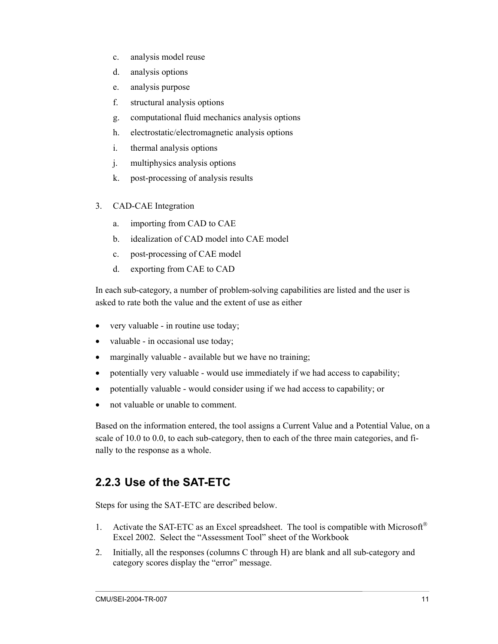- c. analysis model reuse
- d. analysis options
- e. analysis purpose
- f. structural analysis options
- g. computational fluid mechanics analysis options
- h. electrostatic/electromagnetic analysis options
- i. thermal analysis options
- j. multiphysics analysis options
- k. post-processing of analysis results
- 3. CAD-CAE Integration
	- a. importing from CAD to CAE
	- b. idealization of CAD model into CAE model
	- c. post-processing of CAE model
	- d. exporting from CAE to CAD

In each sub-category, a number of problem-solving capabilities are listed and the user is asked to rate both the value and the extent of use as either

- very valuable in routine use today;
- valuable in occasional use today;
- marginally valuable available but we have no training;
- potentially very valuable would use immediately if we had access to capability;
- potentially valuable would consider using if we had access to capability; or
- not valuable or unable to comment.

Based on the information entered, the tool assigns a Current Value and a Potential Value, on a scale of 10.0 to 0.0, to each sub-category, then to each of the three main categories, and finally to the response as a whole.

### **2.2.3 Use of the SAT-ETC**

Steps for using the SAT-ETC are described below.

- 1. Activate the SAT-ETC as an Excel spreadsheet. The tool is compatible with Microsoft<sup>®</sup> Excel 2002. Select the "Assessment Tool" sheet of the Workbook
- 2. Initially, all the responses (columns C through H) are blank and all sub-category and category scores display the "error" message.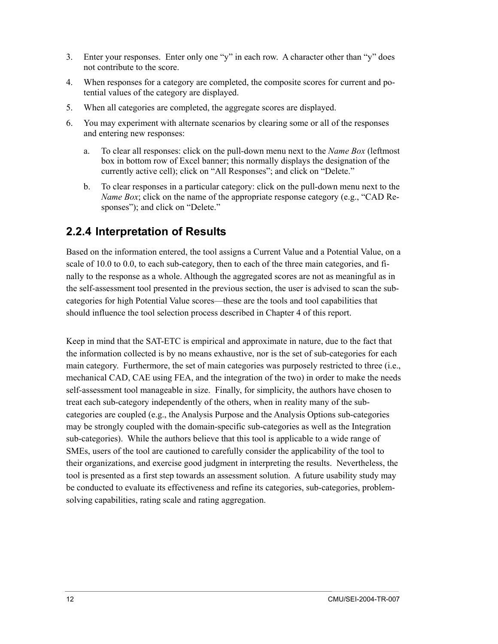- 3. Enter your responses. Enter only one "y" in each row. A character other than "y" does not contribute to the score.
- 4. When responses for a category are completed, the composite scores for current and potential values of the category are displayed.
- 5. When all categories are completed, the aggregate scores are displayed.
- 6. You may experiment with alternate scenarios by clearing some or all of the responses and entering new responses:
	- a. To clear all responses: click on the pull-down menu next to the *Name Box* (leftmost box in bottom row of Excel banner; this normally displays the designation of the currently active cell); click on "All Responses"; and click on "Delete."
	- b. To clear responses in a particular category: click on the pull-down menu next to the *Name Box*; click on the name of the appropriate response category (e.g., "CAD Responses"); and click on "Delete."

### **2.2.4 Interpretation of Results**

Based on the information entered, the tool assigns a Current Value and a Potential Value, on a scale of 10.0 to 0.0, to each sub-category, then to each of the three main categories, and finally to the response as a whole. Although the aggregated scores are not as meaningful as in the self-assessment tool presented in the previous section, the user is advised to scan the subcategories for high Potential Value scores—these are the tools and tool capabilities that should influence the tool selection process described in Chapter 4 of this report.

Keep in mind that the SAT-ETC is empirical and approximate in nature, due to the fact that the information collected is by no means exhaustive, nor is the set of sub-categories for each main category. Furthermore, the set of main categories was purposely restricted to three (i.e., mechanical CAD, CAE using FEA, and the integration of the two) in order to make the needs self-assessment tool manageable in size. Finally, for simplicity, the authors have chosen to treat each sub-category independently of the others, when in reality many of the subcategories are coupled (e.g., the Analysis Purpose and the Analysis Options sub-categories may be strongly coupled with the domain-specific sub-categories as well as the Integration sub-categories). While the authors believe that this tool is applicable to a wide range of SMEs, users of the tool are cautioned to carefully consider the applicability of the tool to their organizations, and exercise good judgment in interpreting the results. Nevertheless, the tool is presented as a first step towards an assessment solution. A future usability study may be conducted to evaluate its effectiveness and refine its categories, sub-categories, problemsolving capabilities, rating scale and rating aggregation.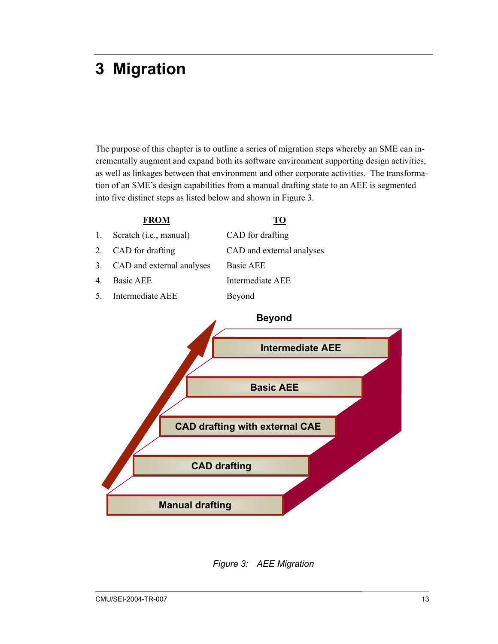# **3 Migration**

The purpose of this chapter is to outline a series of migration steps whereby an SME can incrementally augment and expand both its software environment supporting design activities, as well as linkages between that environment and other corporate activities. The transformation of an SME's design capabilities from a manual drafting state to an AEE is segmented into five distinct steps as listed below and shown in Figure 3.

#### **FROM TO**

1. Scratch (i.e., manual) CAD for drafting 2. CAD for drafting CAD and external analyses 3. CAD and external analyses Basic AEE 4. Basic AEE Intermediate AEE 5. Intermediate AEE Beyond



#### *Figure 3: AEE Migration*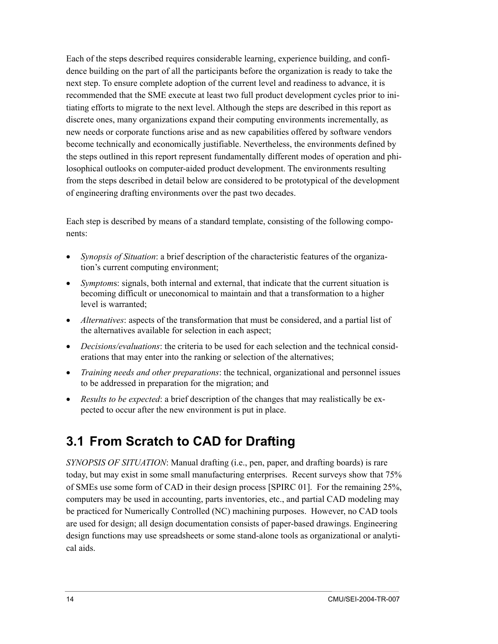Each of the steps described requires considerable learning, experience building, and confidence building on the part of all the participants before the organization is ready to take the next step. To ensure complete adoption of the current level and readiness to advance, it is recommended that the SME execute at least two full product development cycles prior to initiating efforts to migrate to the next level. Although the steps are described in this report as discrete ones, many organizations expand their computing environments incrementally, as new needs or corporate functions arise and as new capabilities offered by software vendors become technically and economically justifiable. Nevertheless, the environments defined by the steps outlined in this report represent fundamentally different modes of operation and philosophical outlooks on computer-aided product development. The environments resulting from the steps described in detail below are considered to be prototypical of the development of engineering drafting environments over the past two decades.

Each step is described by means of a standard template, consisting of the following components:

- *Synopsis of Situation*: a brief description of the characteristic features of the organization's current computing environment;
- *Symptoms:* signals, both internal and external, that indicate that the current situation is becoming difficult or uneconomical to maintain and that a transformation to a higher level is warranted;
- *Alternatives*: aspects of the transformation that must be considered, and a partial list of the alternatives available for selection in each aspect;
- *Decisions/evaluations*: the criteria to be used for each selection and the technical considerations that may enter into the ranking or selection of the alternatives;
- *Training needs and other preparations*: the technical, organizational and personnel issues to be addressed in preparation for the migration; and
- *Results to be expected*: a brief description of the changes that may realistically be expected to occur after the new environment is put in place.

### **3.1 From Scratch to CAD for Drafting**

*SYNOPSIS OF SITUATION*: Manual drafting (i.e., pen, paper, and drafting boards) is rare today, but may exist in some small manufacturing enterprises. Recent surveys show that 75% of SMEs use some form of CAD in their design process [SPIRC 01]. For the remaining 25%, computers may be used in accounting, parts inventories, etc., and partial CAD modeling may be practiced for Numerically Controlled (NC) machining purposes. However, no CAD tools are used for design; all design documentation consists of paper-based drawings. Engineering design functions may use spreadsheets or some stand-alone tools as organizational or analytical aids.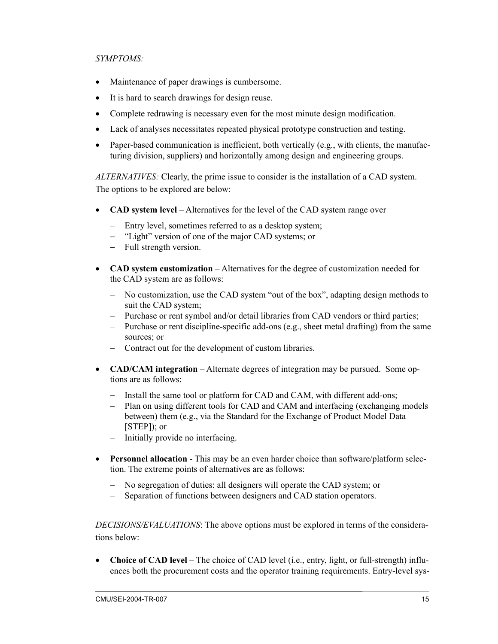#### *SYMPTOMS:*

- Maintenance of paper drawings is cumbersome.
- It is hard to search drawings for design reuse.
- Complete redrawing is necessary even for the most minute design modification.
- Lack of analyses necessitates repeated physical prototype construction and testing.
- Paper-based communication is inefficient, both vertically (e.g., with clients, the manufacturing division, suppliers) and horizontally among design and engineering groups.

*ALTERNATIVES:* Clearly, the prime issue to consider is the installation of a CAD system. The options to be explored are below:

- **CAD system level** Alternatives for the level of the CAD system range over
	- Entry level, sometimes referred to as a desktop system;
	- − "Light" version of one of the major CAD systems; or
	- − Full strength version.
- **CAD system customization** Alternatives for the degree of customization needed for the CAD system are as follows:
	- − No customization, use the CAD system "out of the box", adapting design methods to suit the CAD system;
	- − Purchase or rent symbol and/or detail libraries from CAD vendors or third parties;
	- − Purchase or rent discipline-specific add-ons (e.g., sheet metal drafting) from the same sources; or
	- − Contract out for the development of custom libraries.
- **CAD/CAM integration** Alternate degrees of integration may be pursued. Some options are as follows:
	- − Install the same tool or platform for CAD and CAM, with different add-ons;
	- − Plan on using different tools for CAD and CAM and interfacing (exchanging models between) them (e.g., via the Standard for the Exchange of Product Model Data [STEP]); or
	- − Initially provide no interfacing.
- **Personnel allocation** This may be an even harder choice than software/platform selection. The extreme points of alternatives are as follows:
	- No segregation of duties: all designers will operate the CAD system; or
	- Separation of functions between designers and CAD station operators.

*DECISIONS/EVALUATIONS*: The above options must be explored in terms of the considerations below:

• **Choice of CAD level** – The choice of CAD level (i.e., entry, light, or full-strength) influences both the procurement costs and the operator training requirements. Entry-level sys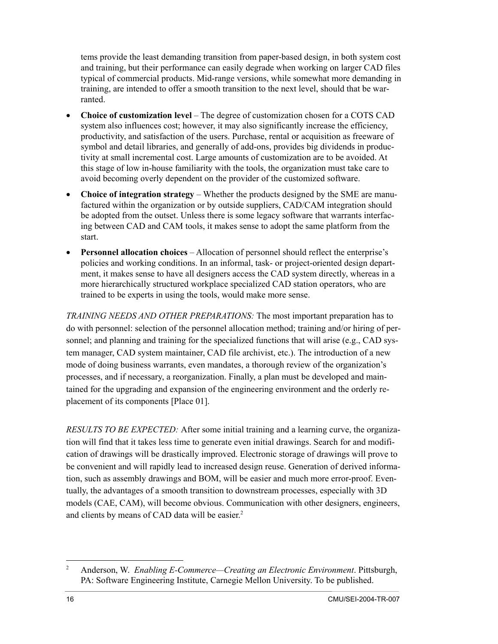tems provide the least demanding transition from paper-based design, in both system cost and training, but their performance can easily degrade when working on larger CAD files typical of commercial products. Mid-range versions, while somewhat more demanding in training, are intended to offer a smooth transition to the next level, should that be warranted.

- **Choice of customization level** The degree of customization chosen for a COTS CAD system also influences cost; however, it may also significantly increase the efficiency, productivity, and satisfaction of the users. Purchase, rental or acquisition as freeware of symbol and detail libraries, and generally of add-ons, provides big dividends in productivity at small incremental cost. Large amounts of customization are to be avoided. At this stage of low in-house familiarity with the tools, the organization must take care to avoid becoming overly dependent on the provider of the customized software.
- **Choice of integration strategy** Whether the products designed by the SME are manufactured within the organization or by outside suppliers, CAD/CAM integration should be adopted from the outset. Unless there is some legacy software that warrants interfacing between CAD and CAM tools, it makes sense to adopt the same platform from the start.
- **Personnel allocation choices** Allocation of personnel should reflect the enterprise's policies and working conditions. In an informal, task- or project-oriented design department, it makes sense to have all designers access the CAD system directly, whereas in a more hierarchically structured workplace specialized CAD station operators, who are trained to be experts in using the tools, would make more sense.

*TRAINING NEEDS AND OTHER PREPARATIONS:* The most important preparation has to do with personnel: selection of the personnel allocation method; training and/or hiring of personnel; and planning and training for the specialized functions that will arise (e.g., CAD system manager, CAD system maintainer, CAD file archivist, etc.). The introduction of a new mode of doing business warrants, even mandates, a thorough review of the organization's processes, and if necessary, a reorganization. Finally, a plan must be developed and maintained for the upgrading and expansion of the engineering environment and the orderly replacement of its components [Place 01].

*RESULTS TO BE EXPECTED:* After some initial training and a learning curve, the organization will find that it takes less time to generate even initial drawings. Search for and modification of drawings will be drastically improved. Electronic storage of drawings will prove to be convenient and will rapidly lead to increased design reuse. Generation of derived information, such as assembly drawings and BOM, will be easier and much more error-proof. Eventually, the advantages of a smooth transition to downstream processes, especially with 3D models (CAE, CAM), will become obvious. Communication with other designers, engineers, and clients by means of CAD data will be easier.<sup>2</sup>

 $\frac{1}{2}$  Anderson, W. *Enabling E-Commerce—Creating an Electronic Environment*. Pittsburgh, PA: Software Engineering Institute, Carnegie Mellon University. To be published.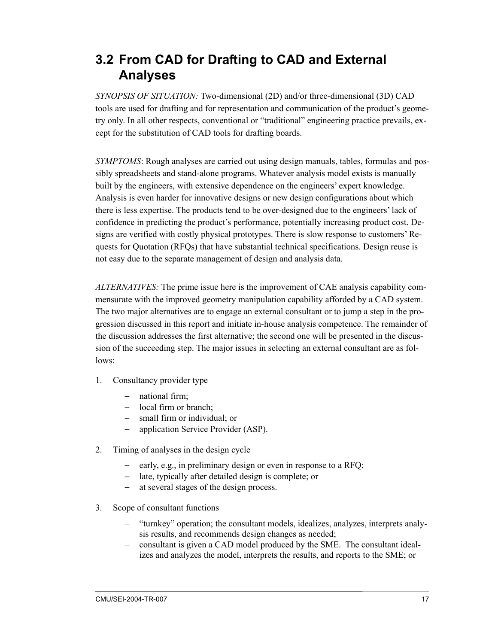### **3.2 From CAD for Drafting to CAD and External Analyses**

*SYNOPSIS OF SITUATION:* Two-dimensional (2D) and/or three-dimensional (3D) CAD tools are used for drafting and for representation and communication of the product's geometry only. In all other respects, conventional or "traditional" engineering practice prevails, except for the substitution of CAD tools for drafting boards.

*SYMPTOMS*: Rough analyses are carried out using design manuals, tables, formulas and possibly spreadsheets and stand-alone programs. Whatever analysis model exists is manually built by the engineers, with extensive dependence on the engineers' expert knowledge. Analysis is even harder for innovative designs or new design configurations about which there is less expertise. The products tend to be over-designed due to the engineers' lack of confidence in predicting the product's performance, potentially increasing product cost. Designs are verified with costly physical prototypes. There is slow response to customers' Requests for Quotation (RFQs) that have substantial technical specifications. Design reuse is not easy due to the separate management of design and analysis data.

*ALTERNATIVES:* The prime issue here is the improvement of CAE analysis capability commensurate with the improved geometry manipulation capability afforded by a CAD system. The two major alternatives are to engage an external consultant or to jump a step in the progression discussed in this report and initiate in-house analysis competence. The remainder of the discussion addresses the first alternative; the second one will be presented in the discussion of the succeeding step. The major issues in selecting an external consultant are as follows:

- 1. Consultancy provider type
	- − national firm;
	- − local firm or branch;
	- − small firm or individual; or
	- − application Service Provider (ASP).
- 2. Timing of analyses in the design cycle
	- − early, e.g., in preliminary design or even in response to a RFQ;
	- late, typically after detailed design is complete; or
	- − at several stages of the design process.
- 3. Scope of consultant functions
	- − "turnkey" operation; the consultant models, idealizes, analyzes, interprets analysis results, and recommends design changes as needed;
	- − consultant is given a CAD model produced by the SME. The consultant idealizes and analyzes the model, interprets the results, and reports to the SME; or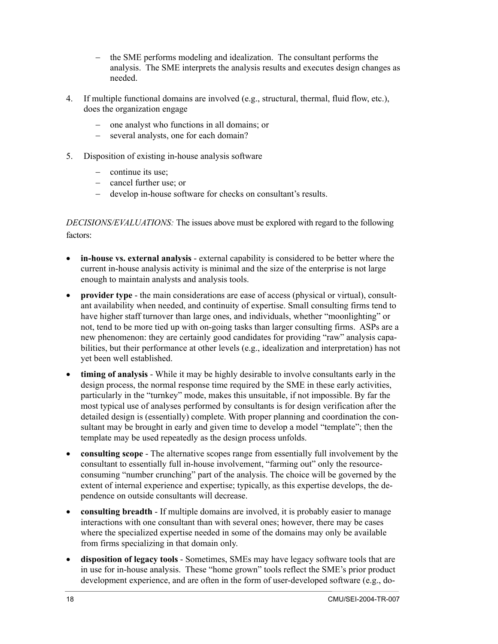- the SME performs modeling and idealization. The consultant performs the analysis. The SME interprets the analysis results and executes design changes as needed.
- 4. If multiple functional domains are involved (e.g., structural, thermal, fluid flow, etc.), does the organization engage
	- − one analyst who functions in all domains; or
	- several analysts, one for each domain?
- 5. Disposition of existing in-house analysis software
	- − continue its use;
	- − cancel further use; or
	- − develop in-house software for checks on consultant's results.

*DECISIONS/EVALUATIONS:* The issues above must be explored with regard to the following factors:

- **in-house vs. external analysis** external capability is considered to be better where the current in-house analysis activity is minimal and the size of the enterprise is not large enough to maintain analysts and analysis tools.
- **provider type** the main considerations are ease of access (physical or virtual), consultant availability when needed, and continuity of expertise. Small consulting firms tend to have higher staff turnover than large ones, and individuals, whether "moonlighting" or not, tend to be more tied up with on-going tasks than larger consulting firms. ASPs are a new phenomenon: they are certainly good candidates for providing "raw" analysis capabilities, but their performance at other levels (e.g., idealization and interpretation) has not yet been well established.
- **timing of analysis** While it may be highly desirable to involve consultants early in the design process, the normal response time required by the SME in these early activities, particularly in the "turnkey" mode, makes this unsuitable, if not impossible. By far the most typical use of analyses performed by consultants is for design verification after the detailed design is (essentially) complete. With proper planning and coordination the consultant may be brought in early and given time to develop a model "template"; then the template may be used repeatedly as the design process unfolds.
- **consulting scope** The alternative scopes range from essentially full involvement by the consultant to essentially full in-house involvement, "farming out" only the resourceconsuming "number crunching" part of the analysis. The choice will be governed by the extent of internal experience and expertise; typically, as this expertise develops, the dependence on outside consultants will decrease.
- **consulting breadth** If multiple domains are involved, it is probably easier to manage interactions with one consultant than with several ones; however, there may be cases where the specialized expertise needed in some of the domains may only be available from firms specializing in that domain only.
- **disposition of legacy tools** Sometimes, SMEs may have legacy software tools that are in use for in-house analysis. These "home grown" tools reflect the SME's prior product development experience, and are often in the form of user-developed software (e.g., do-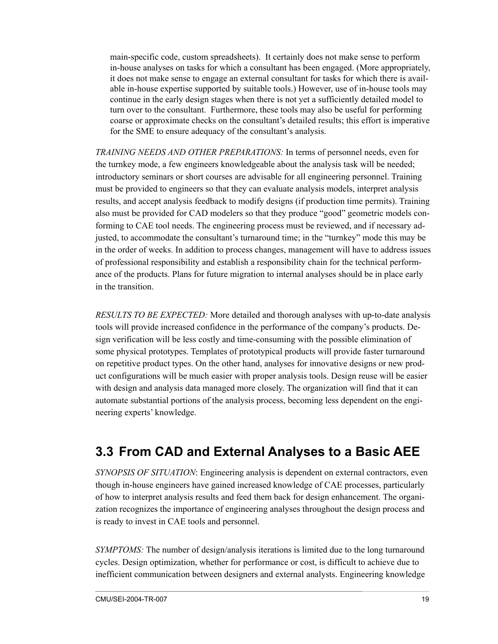main-specific code, custom spreadsheets). It certainly does not make sense to perform in-house analyses on tasks for which a consultant has been engaged. (More appropriately, it does not make sense to engage an external consultant for tasks for which there is available in-house expertise supported by suitable tools.) However, use of in-house tools may continue in the early design stages when there is not yet a sufficiently detailed model to turn over to the consultant. Furthermore, these tools may also be useful for performing coarse or approximate checks on the consultant's detailed results; this effort is imperative for the SME to ensure adequacy of the consultant's analysis.

*TRAINING NEEDS AND OTHER PREPARATIONS:* In terms of personnel needs, even for the turnkey mode, a few engineers knowledgeable about the analysis task will be needed; introductory seminars or short courses are advisable for all engineering personnel. Training must be provided to engineers so that they can evaluate analysis models, interpret analysis results, and accept analysis feedback to modify designs (if production time permits). Training also must be provided for CAD modelers so that they produce "good" geometric models conforming to CAE tool needs. The engineering process must be reviewed, and if necessary adjusted, to accommodate the consultant's turnaround time; in the "turnkey" mode this may be in the order of weeks. In addition to process changes, management will have to address issues of professional responsibility and establish a responsibility chain for the technical performance of the products. Plans for future migration to internal analyses should be in place early in the transition.

*RESULTS TO BE EXPECTED:* More detailed and thorough analyses with up-to-date analysis tools will provide increased confidence in the performance of the company's products. Design verification will be less costly and time-consuming with the possible elimination of some physical prototypes. Templates of prototypical products will provide faster turnaround on repetitive product types. On the other hand, analyses for innovative designs or new product configurations will be much easier with proper analysis tools. Design reuse will be easier with design and analysis data managed more closely. The organization will find that it can automate substantial portions of the analysis process, becoming less dependent on the engineering experts' knowledge.

### **3.3 From CAD and External Analyses to a Basic AEE**

*SYNOPSIS OF SITUATION*: Engineering analysis is dependent on external contractors, even though in-house engineers have gained increased knowledge of CAE processes, particularly of how to interpret analysis results and feed them back for design enhancement. The organization recognizes the importance of engineering analyses throughout the design process and is ready to invest in CAE tools and personnel.

*SYMPTOMS:* The number of design/analysis iterations is limited due to the long turnaround cycles. Design optimization, whether for performance or cost, is difficult to achieve due to inefficient communication between designers and external analysts. Engineering knowledge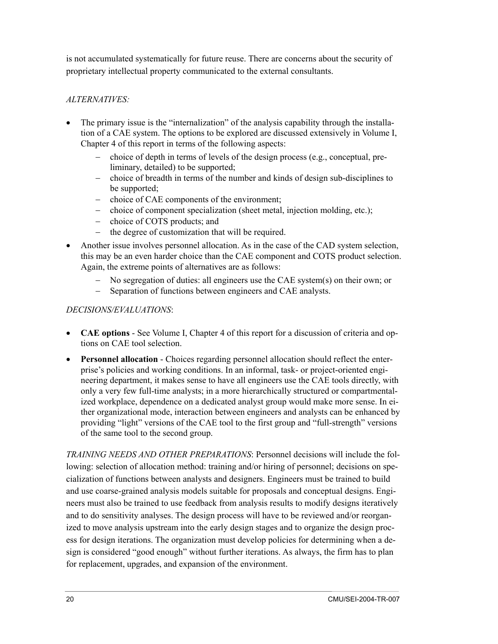is not accumulated systematically for future reuse. There are concerns about the security of proprietary intellectual property communicated to the external consultants.

#### *ALTERNATIVES:*

- The primary issue is the "internalization" of the analysis capability through the installation of a CAE system. The options to be explored are discussed extensively in Volume I, Chapter 4 of this report in terms of the following aspects:
	- − choice of depth in terms of levels of the design process (e.g., conceptual, preliminary, detailed) to be supported;
	- − choice of breadth in terms of the number and kinds of design sub-disciplines to be supported;
	- − choice of CAE components of the environment;
	- − choice of component specialization (sheet metal, injection molding, etc.);
	- − choice of COTS products; and
	- − the degree of customization that will be required.
- Another issue involves personnel allocation. As in the case of the CAD system selection, this may be an even harder choice than the CAE component and COTS product selection. Again, the extreme points of alternatives are as follows:
	- − No segregation of duties: all engineers use the CAE system(s) on their own; or
	- − Separation of functions between engineers and CAE analysts.

#### *DECISIONS/EVALUATIONS*:

- **CAE options** See Volume I, Chapter 4 of this report for a discussion of criteria and options on CAE tool selection.
- **Personnel allocation** Choices regarding personnel allocation should reflect the enterprise's policies and working conditions. In an informal, task- or project-oriented engineering department, it makes sense to have all engineers use the CAE tools directly, with only a very few full-time analysts; in a more hierarchically structured or compartmentalized workplace, dependence on a dedicated analyst group would make more sense. In either organizational mode, interaction between engineers and analysts can be enhanced by providing "light" versions of the CAE tool to the first group and "full-strength" versions of the same tool to the second group.

*TRAINING NEEDS AND OTHER PREPARATIONS*: Personnel decisions will include the following: selection of allocation method: training and/or hiring of personnel; decisions on specialization of functions between analysts and designers. Engineers must be trained to build and use coarse-grained analysis models suitable for proposals and conceptual designs. Engineers must also be trained to use feedback from analysis results to modify designs iteratively and to do sensitivity analyses. The design process will have to be reviewed and/or reorganized to move analysis upstream into the early design stages and to organize the design process for design iterations. The organization must develop policies for determining when a design is considered "good enough" without further iterations. As always, the firm has to plan for replacement, upgrades, and expansion of the environment.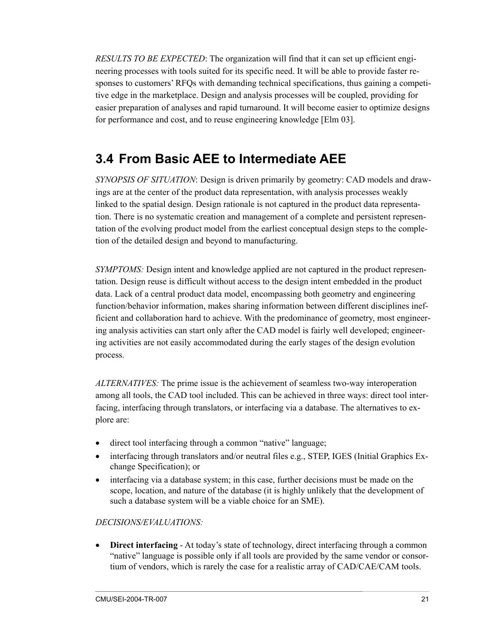*RESULTS TO BE EXPECTED*: The organization will find that it can set up efficient engineering processes with tools suited for its specific need. It will be able to provide faster responses to customers' RFQs with demanding technical specifications, thus gaining a competitive edge in the marketplace. Design and analysis processes will be coupled, providing for easier preparation of analyses and rapid turnaround. It will become easier to optimize designs for performance and cost, and to reuse engineering knowledge [Elm 03].

### **3.4 From Basic AEE to Intermediate AEE**

*SYNOPSIS OF SITUATION*: Design is driven primarily by geometry: CAD models and drawings are at the center of the product data representation, with analysis processes weakly linked to the spatial design. Design rationale is not captured in the product data representation. There is no systematic creation and management of a complete and persistent representation of the evolving product model from the earliest conceptual design steps to the completion of the detailed design and beyond to manufacturing.

*SYMPTOMS:* Design intent and knowledge applied are not captured in the product representation. Design reuse is difficult without access to the design intent embedded in the product data. Lack of a central product data model, encompassing both geometry and engineering function/behavior information, makes sharing information between different disciplines inefficient and collaboration hard to achieve. With the predominance of geometry, most engineering analysis activities can start only after the CAD model is fairly well developed; engineering activities are not easily accommodated during the early stages of the design evolution process.

*ALTERNATIVES:* The prime issue is the achievement of seamless two-way interoperation among all tools, the CAD tool included. This can be achieved in three ways: direct tool interfacing, interfacing through translators, or interfacing via a database. The alternatives to explore are:

- direct tool interfacing through a common "native" language;
- interfacing through translators and/or neutral files e.g., STEP, IGES (Initial Graphics Exchange Specification); or
- interfacing via a database system; in this case, further decisions must be made on the scope, location, and nature of the database (it is highly unlikely that the development of such a database system will be a viable choice for an SME).

#### *DECISIONS/EVALUATIONS:*

• **Direct interfacing** - At today's state of technology, direct interfacing through a common "native" language is possible only if all tools are provided by the same vendor or consortium of vendors, which is rarely the case for a realistic array of CAD/CAE/CAM tools.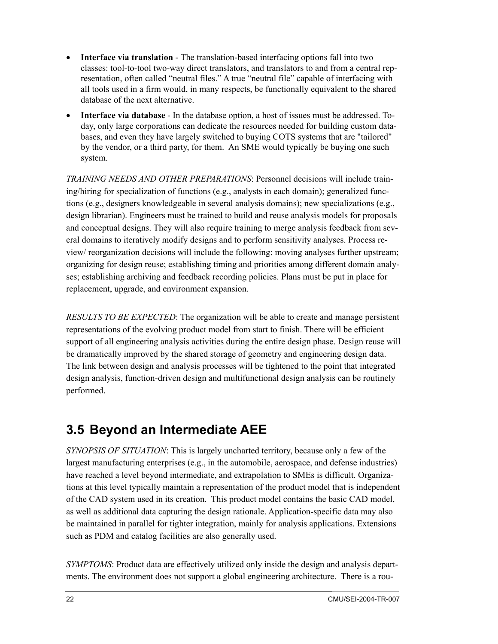- **Interface via translation** The translation-based interfacing options fall into two classes: tool-to-tool two-way direct translators, and translators to and from a central representation, often called "neutral files." A true "neutral file" capable of interfacing with all tools used in a firm would, in many respects, be functionally equivalent to the shared database of the next alternative.
- **Interface via database** In the database option, a host of issues must be addressed. Today, only large corporations can dedicate the resources needed for building custom databases, and even they have largely switched to buying COTS systems that are "tailored" by the vendor, or a third party, for them. An SME would typically be buying one such system.

*TRAINING NEEDS AND OTHER PREPARATIONS*: Personnel decisions will include training/hiring for specialization of functions (e.g., analysts in each domain); generalized functions (e.g., designers knowledgeable in several analysis domains); new specializations (e.g., design librarian). Engineers must be trained to build and reuse analysis models for proposals and conceptual designs. They will also require training to merge analysis feedback from several domains to iteratively modify designs and to perform sensitivity analyses. Process review/ reorganization decisions will include the following: moving analyses further upstream; organizing for design reuse; establishing timing and priorities among different domain analyses; establishing archiving and feedback recording policies. Plans must be put in place for replacement, upgrade, and environment expansion.

*RESULTS TO BE EXPECTED*: The organization will be able to create and manage persistent representations of the evolving product model from start to finish. There will be efficient support of all engineering analysis activities during the entire design phase. Design reuse will be dramatically improved by the shared storage of geometry and engineering design data. The link between design and analysis processes will be tightened to the point that integrated design analysis, function-driven design and multifunctional design analysis can be routinely performed.

### **3.5 Beyond an Intermediate AEE**

*SYNOPSIS OF SITUATION*: This is largely uncharted territory, because only a few of the largest manufacturing enterprises (e.g., in the automobile, aerospace, and defense industries) have reached a level beyond intermediate, and extrapolation to SMEs is difficult. Organizations at this level typically maintain a representation of the product model that is independent of the CAD system used in its creation. This product model contains the basic CAD model, as well as additional data capturing the design rationale. Application-specific data may also be maintained in parallel for tighter integration, mainly for analysis applications. Extensions such as PDM and catalog facilities are also generally used.

*SYMPTOMS*: Product data are effectively utilized only inside the design and analysis departments. The environment does not support a global engineering architecture. There is a rou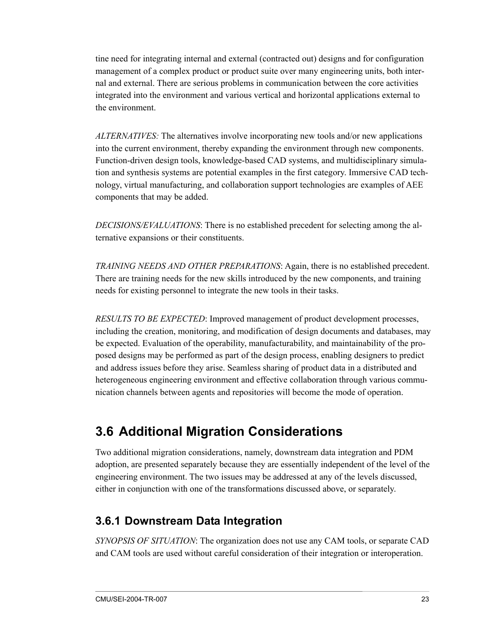tine need for integrating internal and external (contracted out) designs and for configuration management of a complex product or product suite over many engineering units, both internal and external. There are serious problems in communication between the core activities integrated into the environment and various vertical and horizontal applications external to the environment.

*ALTERNATIVES:* The alternatives involve incorporating new tools and/or new applications into the current environment, thereby expanding the environment through new components. Function-driven design tools, knowledge-based CAD systems, and multidisciplinary simulation and synthesis systems are potential examples in the first category. Immersive CAD technology, virtual manufacturing, and collaboration support technologies are examples of AEE components that may be added.

*DECISIONS/EVALUATIONS*: There is no established precedent for selecting among the alternative expansions or their constituents.

*TRAINING NEEDS AND OTHER PREPARATIONS*: Again, there is no established precedent. There are training needs for the new skills introduced by the new components, and training needs for existing personnel to integrate the new tools in their tasks.

*RESULTS TO BE EXPECTED*: Improved management of product development processes, including the creation, monitoring, and modification of design documents and databases, may be expected. Evaluation of the operability, manufacturability, and maintainability of the proposed designs may be performed as part of the design process, enabling designers to predict and address issues before they arise. Seamless sharing of product data in a distributed and heterogeneous engineering environment and effective collaboration through various communication channels between agents and repositories will become the mode of operation.

### **3.6 Additional Migration Considerations**

Two additional migration considerations, namely, downstream data integration and PDM adoption, are presented separately because they are essentially independent of the level of the engineering environment. The two issues may be addressed at any of the levels discussed, either in conjunction with one of the transformations discussed above, or separately.

### **3.6.1 Downstream Data Integration**

*SYNOPSIS OF SITUATION*: The organization does not use any CAM tools, or separate CAD and CAM tools are used without careful consideration of their integration or interoperation.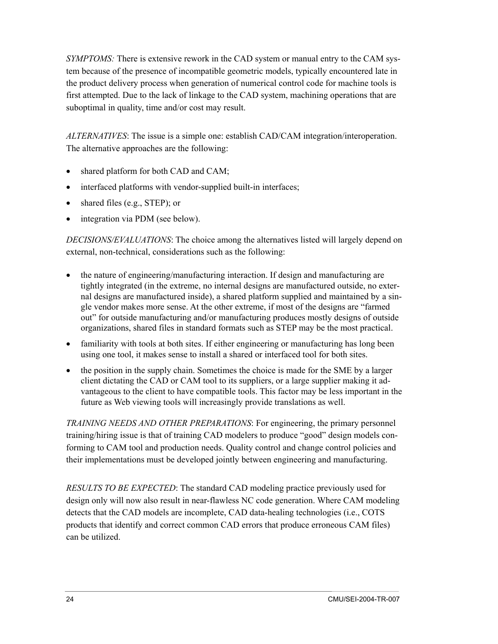*SYMPTOMS:* There is extensive rework in the CAD system or manual entry to the CAM system because of the presence of incompatible geometric models, typically encountered late in the product delivery process when generation of numerical control code for machine tools is first attempted. Due to the lack of linkage to the CAD system, machining operations that are suboptimal in quality, time and/or cost may result.

*ALTERNATIVES*: The issue is a simple one: establish CAD/CAM integration/interoperation. The alternative approaches are the following:

- shared platform for both CAD and CAM;
- interfaced platforms with vendor-supplied built-in interfaces;
- shared files (e.g., STEP); or
- integration via PDM (see below).

*DECISIONS/EVALUATIONS*: The choice among the alternatives listed will largely depend on external, non-technical, considerations such as the following:

- the nature of engineering/manufacturing interaction. If design and manufacturing are tightly integrated (in the extreme, no internal designs are manufactured outside, no external designs are manufactured inside), a shared platform supplied and maintained by a single vendor makes more sense. At the other extreme, if most of the designs are "farmed out" for outside manufacturing and/or manufacturing produces mostly designs of outside organizations, shared files in standard formats such as STEP may be the most practical.
- familiarity with tools at both sites. If either engineering or manufacturing has long been using one tool, it makes sense to install a shared or interfaced tool for both sites.
- the position in the supply chain. Sometimes the choice is made for the SME by a larger client dictating the CAD or CAM tool to its suppliers, or a large supplier making it advantageous to the client to have compatible tools. This factor may be less important in the future as Web viewing tools will increasingly provide translations as well.

*TRAINING NEEDS AND OTHER PREPARATIONS*: For engineering, the primary personnel training/hiring issue is that of training CAD modelers to produce "good" design models conforming to CAM tool and production needs. Quality control and change control policies and their implementations must be developed jointly between engineering and manufacturing.

*RESULTS TO BE EXPECTED*: The standard CAD modeling practice previously used for design only will now also result in near-flawless NC code generation. Where CAM modeling detects that the CAD models are incomplete, CAD data-healing technologies (i.e., COTS products that identify and correct common CAD errors that produce erroneous CAM files) can be utilized.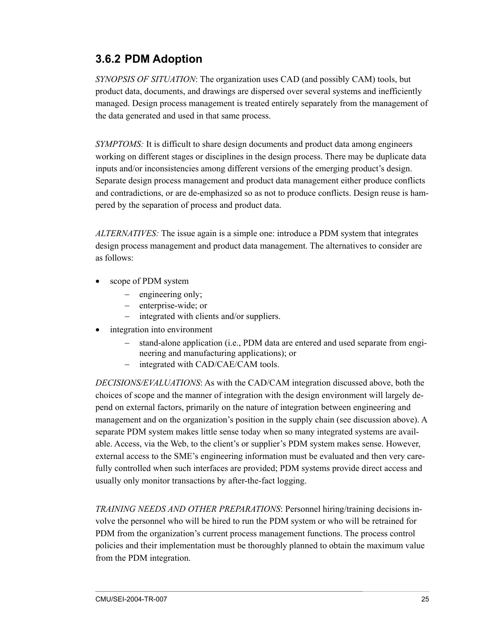### **3.6.2 PDM Adoption**

*SYNOPSIS OF SITUATION*: The organization uses CAD (and possibly CAM) tools, but product data, documents, and drawings are dispersed over several systems and inefficiently managed. Design process management is treated entirely separately from the management of the data generated and used in that same process.

*SYMPTOMS:* It is difficult to share design documents and product data among engineers working on different stages or disciplines in the design process. There may be duplicate data inputs and/or inconsistencies among different versions of the emerging product's design. Separate design process management and product data management either produce conflicts and contradictions, or are de-emphasized so as not to produce conflicts. Design reuse is hampered by the separation of process and product data.

*ALTERNATIVES:* The issue again is a simple one: introduce a PDM system that integrates design process management and product data management. The alternatives to consider are as follows:

- scope of PDM system
	- − engineering only;
	- − enterprise-wide; or
	- − integrated with clients and/or suppliers.
- integration into environment
	- − stand-alone application (i.e., PDM data are entered and used separate from engineering and manufacturing applications); or
	- integrated with CAD/CAE/CAM tools.

*DECISIONS/EVALUATIONS*: As with the CAD/CAM integration discussed above, both the choices of scope and the manner of integration with the design environment will largely depend on external factors, primarily on the nature of integration between engineering and management and on the organization's position in the supply chain (see discussion above). A separate PDM system makes little sense today when so many integrated systems are available. Access, via the Web, to the client's or supplier's PDM system makes sense. However, external access to the SME's engineering information must be evaluated and then very carefully controlled when such interfaces are provided; PDM systems provide direct access and usually only monitor transactions by after-the-fact logging.

*TRAINING NEEDS AND OTHER PREPARATIONS*: Personnel hiring/training decisions involve the personnel who will be hired to run the PDM system or who will be retrained for PDM from the organization's current process management functions. The process control policies and their implementation must be thoroughly planned to obtain the maximum value from the PDM integration.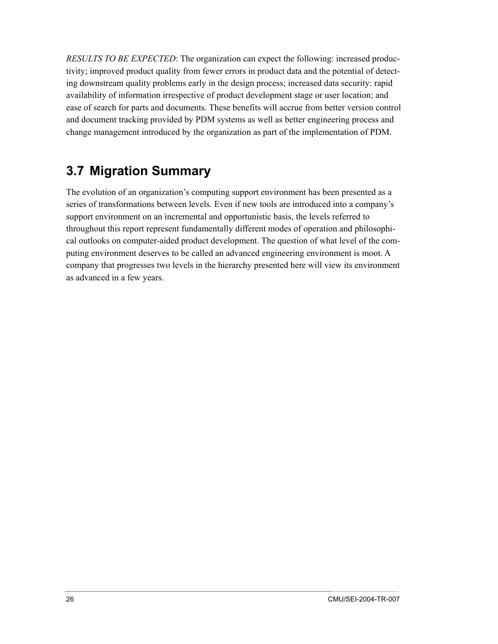*RESULTS TO BE EXPECTED*: The organization can expect the following: increased productivity; improved product quality from fewer errors in product data and the potential of detecting downstream quality problems early in the design process; increased data security: rapid availability of information irrespective of product development stage or user location; and ease of search for parts and documents. These benefits will accrue from better version control and document tracking provided by PDM systems as well as better engineering process and change management introduced by the organization as part of the implementation of PDM.

### **3.7 Migration Summary**

The evolution of an organization's computing support environment has been presented as a series of transformations between levels. Even if new tools are introduced into a company's support environment on an incremental and opportunistic basis, the levels referred to throughout this report represent fundamentally different modes of operation and philosophical outlooks on computer-aided product development. The question of what level of the computing environment deserves to be called an advanced engineering environment is moot. A company that progresses two levels in the hierarchy presented here will view its environment as advanced in a few years.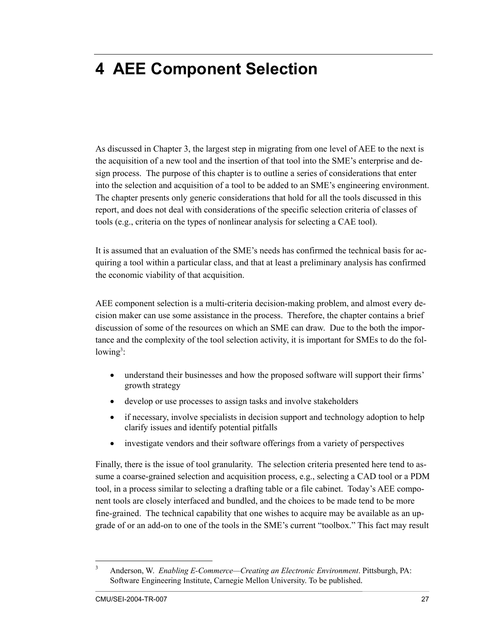# **4 AEE Component Selection**

As discussed in Chapter 3, the largest step in migrating from one level of AEE to the next is the acquisition of a new tool and the insertion of that tool into the SME's enterprise and design process. The purpose of this chapter is to outline a series of considerations that enter into the selection and acquisition of a tool to be added to an SME's engineering environment. The chapter presents only generic considerations that hold for all the tools discussed in this report, and does not deal with considerations of the specific selection criteria of classes of tools (e.g., criteria on the types of nonlinear analysis for selecting a CAE tool).

It is assumed that an evaluation of the SME's needs has confirmed the technical basis for acquiring a tool within a particular class, and that at least a preliminary analysis has confirmed the economic viability of that acquisition.

AEE component selection is a multi-criteria decision-making problem, and almost every decision maker can use some assistance in the process. Therefore, the chapter contains a brief discussion of some of the resources on which an SME can draw. Due to the both the importance and the complexity of the tool selection activity, it is important for SMEs to do the fol $lowing^3$ :

- understand their businesses and how the proposed software will support their firms' growth strategy
- develop or use processes to assign tasks and involve stakeholders
- if necessary, involve specialists in decision support and technology adoption to help clarify issues and identify potential pitfalls
- investigate vendors and their software offerings from a variety of perspectives

Finally, there is the issue of tool granularity. The selection criteria presented here tend to assume a coarse-grained selection and acquisition process, e.g., selecting a CAD tool or a PDM tool, in a process similar to selecting a drafting table or a file cabinet. Today's AEE component tools are closely interfaced and bundled, and the choices to be made tend to be more fine-grained. The technical capability that one wishes to acquire may be available as an upgrade of or an add-on to one of the tools in the SME's current "toolbox." This fact may result

 $\frac{1}{3}$  Anderson, W. *Enabling E-Commerce—Creating an Electronic Environment*. Pittsburgh, PA: Software Engineering Institute, Carnegie Mellon University. To be published.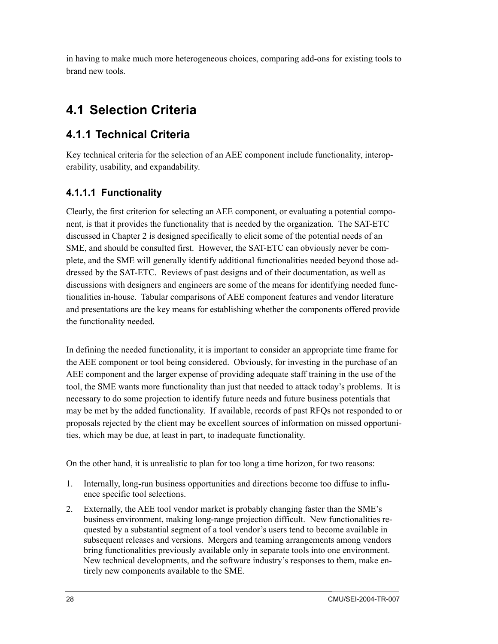in having to make much more heterogeneous choices, comparing add-ons for existing tools to brand new tools.

## **4.1 Selection Criteria**

### **4.1.1 Technical Criteria**

Key technical criteria for the selection of an AEE component include functionality, interoperability, usability, and expandability.

### **4.1.1.1 Functionality**

Clearly, the first criterion for selecting an AEE component, or evaluating a potential component, is that it provides the functionality that is needed by the organization. The SAT-ETC discussed in Chapter 2 is designed specifically to elicit some of the potential needs of an SME, and should be consulted first. However, the SAT-ETC can obviously never be complete, and the SME will generally identify additional functionalities needed beyond those addressed by the SAT-ETC. Reviews of past designs and of their documentation, as well as discussions with designers and engineers are some of the means for identifying needed functionalities in-house. Tabular comparisons of AEE component features and vendor literature and presentations are the key means for establishing whether the components offered provide the functionality needed.

In defining the needed functionality, it is important to consider an appropriate time frame for the AEE component or tool being considered. Obviously, for investing in the purchase of an AEE component and the larger expense of providing adequate staff training in the use of the tool, the SME wants more functionality than just that needed to attack today's problems. It is necessary to do some projection to identify future needs and future business potentials that may be met by the added functionality. If available, records of past RFQs not responded to or proposals rejected by the client may be excellent sources of information on missed opportunities, which may be due, at least in part, to inadequate functionality.

On the other hand, it is unrealistic to plan for too long a time horizon, for two reasons:

- 1. Internally, long-run business opportunities and directions become too diffuse to influence specific tool selections.
- 2. Externally, the AEE tool vendor market is probably changing faster than the SME's business environment, making long-range projection difficult. New functionalities requested by a substantial segment of a tool vendor's users tend to become available in subsequent releases and versions. Mergers and teaming arrangements among vendors bring functionalities previously available only in separate tools into one environment. New technical developments, and the software industry's responses to them, make entirely new components available to the SME.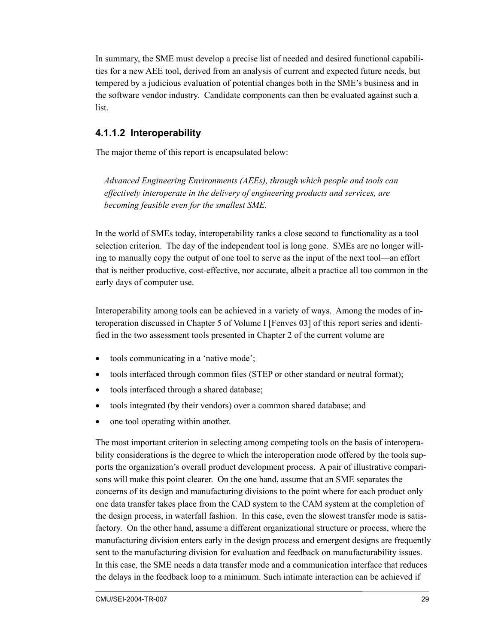In summary, the SME must develop a precise list of needed and desired functional capabilities for a new AEE tool, derived from an analysis of current and expected future needs, but tempered by a judicious evaluation of potential changes both in the SME's business and in the software vendor industry. Candidate components can then be evaluated against such a list.

#### **4.1.1.2 Interoperability**

The major theme of this report is encapsulated below:

*Advanced Engineering Environments (AEEs), through which people and tools can effectively interoperate in the delivery of engineering products and services, are becoming feasible even for the smallest SME.* 

In the world of SMEs today, interoperability ranks a close second to functionality as a tool selection criterion. The day of the independent tool is long gone. SMEs are no longer willing to manually copy the output of one tool to serve as the input of the next tool—an effort that is neither productive, cost-effective, nor accurate, albeit a practice all too common in the early days of computer use.

Interoperability among tools can be achieved in a variety of ways. Among the modes of interoperation discussed in Chapter 5 of Volume I [Fenves 03] of this report series and identified in the two assessment tools presented in Chapter 2 of the current volume are

- tools communicating in a 'native mode';
- tools interfaced through common files (STEP or other standard or neutral format);
- tools interfaced through a shared database;
- tools integrated (by their vendors) over a common shared database; and
- one tool operating within another.

The most important criterion in selecting among competing tools on the basis of interoperability considerations is the degree to which the interoperation mode offered by the tools supports the organization's overall product development process. A pair of illustrative comparisons will make this point clearer. On the one hand, assume that an SME separates the concerns of its design and manufacturing divisions to the point where for each product only one data transfer takes place from the CAD system to the CAM system at the completion of the design process, in waterfall fashion. In this case, even the slowest transfer mode is satisfactory. On the other hand, assume a different organizational structure or process, where the manufacturing division enters early in the design process and emergent designs are frequently sent to the manufacturing division for evaluation and feedback on manufacturability issues. In this case, the SME needs a data transfer mode and a communication interface that reduces the delays in the feedback loop to a minimum. Such intimate interaction can be achieved if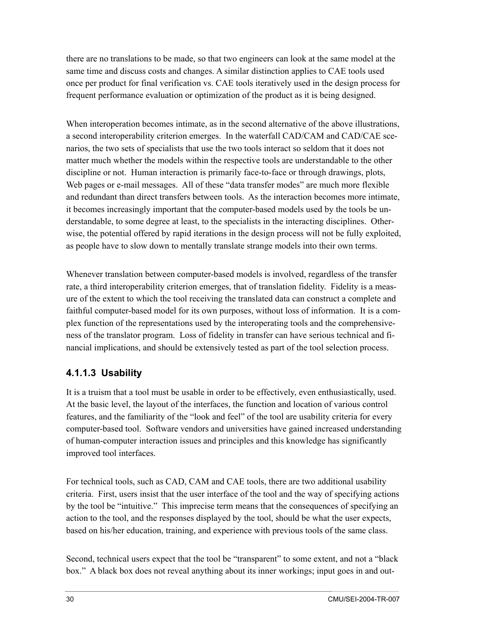there are no translations to be made, so that two engineers can look at the same model at the same time and discuss costs and changes. A similar distinction applies to CAE tools used once per product for final verification vs. CAE tools iteratively used in the design process for frequent performance evaluation or optimization of the product as it is being designed.

When interoperation becomes intimate, as in the second alternative of the above illustrations, a second interoperability criterion emerges. In the waterfall CAD/CAM and CAD/CAE scenarios, the two sets of specialists that use the two tools interact so seldom that it does not matter much whether the models within the respective tools are understandable to the other discipline or not. Human interaction is primarily face-to-face or through drawings, plots, Web pages or e-mail messages. All of these "data transfer modes" are much more flexible and redundant than direct transfers between tools. As the interaction becomes more intimate, it becomes increasingly important that the computer-based models used by the tools be understandable, to some degree at least, to the specialists in the interacting disciplines. Otherwise, the potential offered by rapid iterations in the design process will not be fully exploited, as people have to slow down to mentally translate strange models into their own terms.

Whenever translation between computer-based models is involved, regardless of the transfer rate, a third interoperability criterion emerges, that of translation fidelity. Fidelity is a measure of the extent to which the tool receiving the translated data can construct a complete and faithful computer-based model for its own purposes, without loss of information. It is a complex function of the representations used by the interoperating tools and the comprehensiveness of the translator program. Loss of fidelity in transfer can have serious technical and financial implications, and should be extensively tested as part of the tool selection process.

#### **4.1.1.3 Usability**

It is a truism that a tool must be usable in order to be effectively, even enthusiastically, used. At the basic level, the layout of the interfaces, the function and location of various control features, and the familiarity of the "look and feel" of the tool are usability criteria for every computer-based tool. Software vendors and universities have gained increased understanding of human-computer interaction issues and principles and this knowledge has significantly improved tool interfaces.

For technical tools, such as CAD, CAM and CAE tools, there are two additional usability criteria. First, users insist that the user interface of the tool and the way of specifying actions by the tool be "intuitive." This imprecise term means that the consequences of specifying an action to the tool, and the responses displayed by the tool, should be what the user expects, based on his/her education, training, and experience with previous tools of the same class.

Second, technical users expect that the tool be "transparent" to some extent, and not a "black box." A black box does not reveal anything about its inner workings; input goes in and out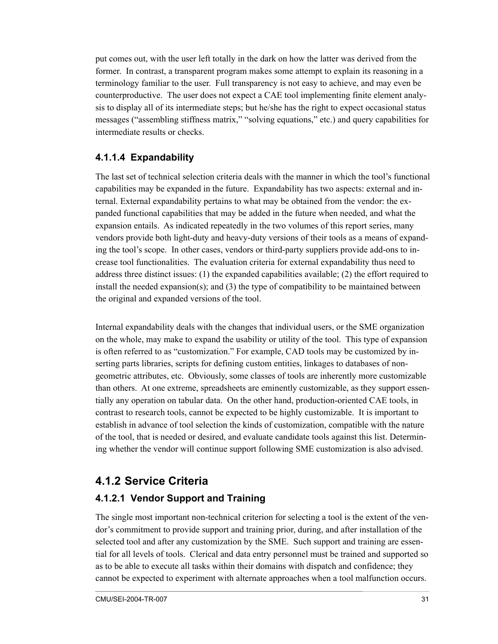put comes out, with the user left totally in the dark on how the latter was derived from the former. In contrast, a transparent program makes some attempt to explain its reasoning in a terminology familiar to the user. Full transparency is not easy to achieve, and may even be counterproductive. The user does not expect a CAE tool implementing finite element analysis to display all of its intermediate steps; but he/she has the right to expect occasional status messages ("assembling stiffness matrix," "solving equations," etc.) and query capabilities for intermediate results or checks.

#### **4.1.1.4 Expandability**

The last set of technical selection criteria deals with the manner in which the tool's functional capabilities may be expanded in the future. Expandability has two aspects: external and internal. External expandability pertains to what may be obtained from the vendor: the expanded functional capabilities that may be added in the future when needed, and what the expansion entails. As indicated repeatedly in the two volumes of this report series, many vendors provide both light-duty and heavy-duty versions of their tools as a means of expanding the tool's scope. In other cases, vendors or third-party suppliers provide add-ons to increase tool functionalities. The evaluation criteria for external expandability thus need to address three distinct issues: (1) the expanded capabilities available; (2) the effort required to install the needed expansion(s); and  $(3)$  the type of compatibility to be maintained between the original and expanded versions of the tool.

Internal expandability deals with the changes that individual users, or the SME organization on the whole, may make to expand the usability or utility of the tool. This type of expansion is often referred to as "customization." For example, CAD tools may be customized by inserting parts libraries, scripts for defining custom entities, linkages to databases of nongeometric attributes, etc. Obviously, some classes of tools are inherently more customizable than others. At one extreme, spreadsheets are eminently customizable, as they support essentially any operation on tabular data. On the other hand, production-oriented CAE tools, in contrast to research tools, cannot be expected to be highly customizable. It is important to establish in advance of tool selection the kinds of customization, compatible with the nature of the tool, that is needed or desired, and evaluate candidate tools against this list. Determining whether the vendor will continue support following SME customization is also advised.

### **4.1.2 Service Criteria**

#### **4.1.2.1 Vendor Support and Training**

The single most important non-technical criterion for selecting a tool is the extent of the vendor's commitment to provide support and training prior, during, and after installation of the selected tool and after any customization by the SME. Such support and training are essential for all levels of tools. Clerical and data entry personnel must be trained and supported so as to be able to execute all tasks within their domains with dispatch and confidence; they cannot be expected to experiment with alternate approaches when a tool malfunction occurs.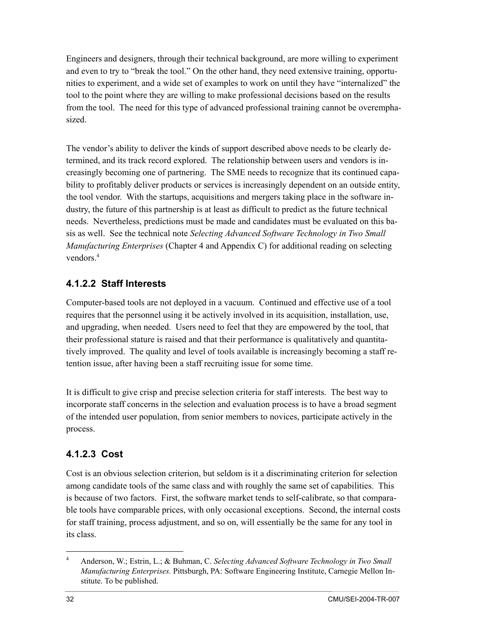Engineers and designers, through their technical background, are more willing to experiment and even to try to "break the tool." On the other hand, they need extensive training, opportunities to experiment, and a wide set of examples to work on until they have "internalized" the tool to the point where they are willing to make professional decisions based on the results from the tool. The need for this type of advanced professional training cannot be overemphasized.

The vendor's ability to deliver the kinds of support described above needs to be clearly determined, and its track record explored. The relationship between users and vendors is increasingly becoming one of partnering. The SME needs to recognize that its continued capability to profitably deliver products or services is increasingly dependent on an outside entity, the tool vendor. With the startups, acquisitions and mergers taking place in the software industry, the future of this partnership is at least as difficult to predict as the future technical needs. Nevertheless, predictions must be made and candidates must be evaluated on this basis as well. See the technical note *Selecting Advanced Software Technology in Two Small Manufacturing Enterprises* (Chapter 4 and Appendix C) for additional reading on selecting vendors.<sup>4</sup>

#### **4.1.2.2 Staff Interests**

Computer-based tools are not deployed in a vacuum. Continued and effective use of a tool requires that the personnel using it be actively involved in its acquisition, installation, use, and upgrading, when needed. Users need to feel that they are empowered by the tool, that their professional stature is raised and that their performance is qualitatively and quantitatively improved. The quality and level of tools available is increasingly becoming a staff retention issue, after having been a staff recruiting issue for some time.

It is difficult to give crisp and precise selection criteria for staff interests. The best way to incorporate staff concerns in the selection and evaluation process is to have a broad segment of the intended user population, from senior members to novices, participate actively in the process.

#### **4.1.2.3 Cost**

Cost is an obvious selection criterion, but seldom is it a discriminating criterion for selection among candidate tools of the same class and with roughly the same set of capabilities. This is because of two factors. First, the software market tends to self-calibrate, so that comparable tools have comparable prices, with only occasional exceptions. Second, the internal costs for staff training, process adjustment, and so on, will essentially be the same for any tool in its class.

 $\frac{1}{4}$  Anderson, W.; Estrin, L.; & Buhman, C. *Selecting Advanced Software Technology in Two Small Manufacturing Enterprises.* Pittsburgh, PA: Software Engineering Institute, Carnegie Mellon Institute. To be published.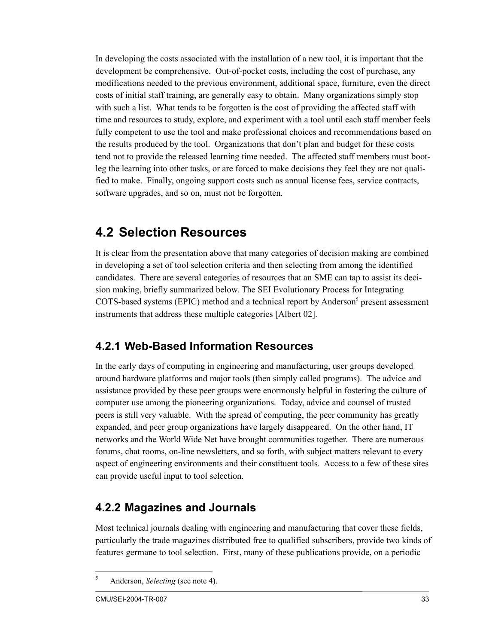In developing the costs associated with the installation of a new tool, it is important that the development be comprehensive. Out-of-pocket costs, including the cost of purchase, any modifications needed to the previous environment, additional space, furniture, even the direct costs of initial staff training, are generally easy to obtain. Many organizations simply stop with such a list. What tends to be forgotten is the cost of providing the affected staff with time and resources to study, explore, and experiment with a tool until each staff member feels fully competent to use the tool and make professional choices and recommendations based on the results produced by the tool. Organizations that don't plan and budget for these costs tend not to provide the released learning time needed. The affected staff members must bootleg the learning into other tasks, or are forced to make decisions they feel they are not qualified to make. Finally, ongoing support costs such as annual license fees, service contracts, software upgrades, and so on, must not be forgotten.

### **4.2 Selection Resources**

It is clear from the presentation above that many categories of decision making are combined in developing a set of tool selection criteria and then selecting from among the identified candidates. There are several categories of resources that an SME can tap to assist its decision making, briefly summarized below. The SEI Evolutionary Process for Integrating COTS-based systems (EPIC) method and a technical report by Anderson<sup>5</sup> present assessment instruments that address these multiple categories [Albert 02].

### **4.2.1 Web-Based Information Resources**

In the early days of computing in engineering and manufacturing, user groups developed around hardware platforms and major tools (then simply called programs). The advice and assistance provided by these peer groups were enormously helpful in fostering the culture of computer use among the pioneering organizations. Today, advice and counsel of trusted peers is still very valuable. With the spread of computing, the peer community has greatly expanded, and peer group organizations have largely disappeared. On the other hand, IT networks and the World Wide Net have brought communities together. There are numerous forums, chat rooms, on-line newsletters, and so forth, with subject matters relevant to every aspect of engineering environments and their constituent tools. Access to a few of these sites can provide useful input to tool selection.

### **4.2.2 Magazines and Journals**

Most technical journals dealing with engineering and manufacturing that cover these fields, particularly the trade magazines distributed free to qualified subscribers, provide two kinds of features germane to tool selection. First, many of these publications provide, on a periodic

1

<sup>5</sup> Anderson, *Selecting* (see note 4).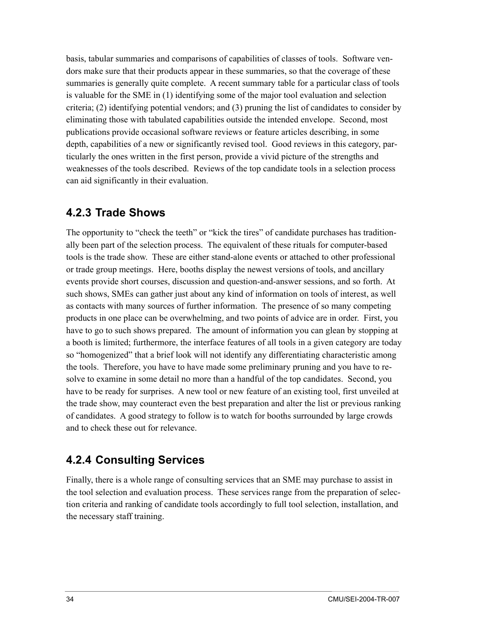basis, tabular summaries and comparisons of capabilities of classes of tools. Software vendors make sure that their products appear in these summaries, so that the coverage of these summaries is generally quite complete. A recent summary table for a particular class of tools is valuable for the SME in (1) identifying some of the major tool evaluation and selection criteria; (2) identifying potential vendors; and (3) pruning the list of candidates to consider by eliminating those with tabulated capabilities outside the intended envelope. Second, most publications provide occasional software reviews or feature articles describing, in some depth, capabilities of a new or significantly revised tool. Good reviews in this category, particularly the ones written in the first person, provide a vivid picture of the strengths and weaknesses of the tools described. Reviews of the top candidate tools in a selection process can aid significantly in their evaluation.

#### **4.2.3 Trade Shows**

The opportunity to "check the teeth" or "kick the tires" of candidate purchases has traditionally been part of the selection process. The equivalent of these rituals for computer-based tools is the trade show. These are either stand-alone events or attached to other professional or trade group meetings. Here, booths display the newest versions of tools, and ancillary events provide short courses, discussion and question-and-answer sessions, and so forth. At such shows, SMEs can gather just about any kind of information on tools of interest, as well as contacts with many sources of further information. The presence of so many competing products in one place can be overwhelming, and two points of advice are in order. First, you have to go to such shows prepared. The amount of information you can glean by stopping at a booth is limited; furthermore, the interface features of all tools in a given category are today so "homogenized" that a brief look will not identify any differentiating characteristic among the tools. Therefore, you have to have made some preliminary pruning and you have to resolve to examine in some detail no more than a handful of the top candidates. Second, you have to be ready for surprises. A new tool or new feature of an existing tool, first unveiled at the trade show, may counteract even the best preparation and alter the list or previous ranking of candidates. A good strategy to follow is to watch for booths surrounded by large crowds and to check these out for relevance.

### **4.2.4 Consulting Services**

Finally, there is a whole range of consulting services that an SME may purchase to assist in the tool selection and evaluation process. These services range from the preparation of selection criteria and ranking of candidate tools accordingly to full tool selection, installation, and the necessary staff training.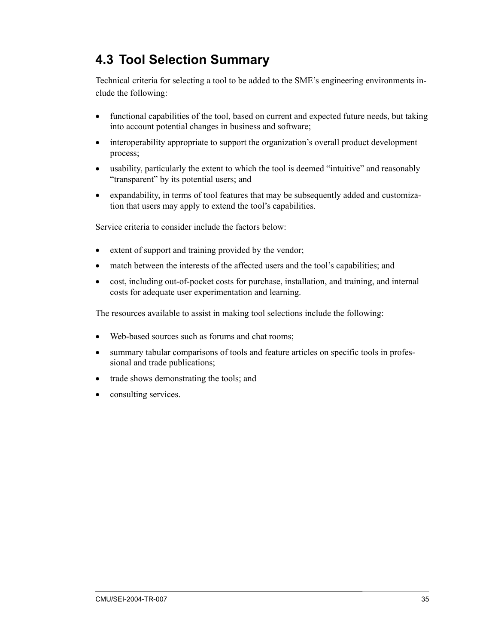### **4.3 Tool Selection Summary**

Technical criteria for selecting a tool to be added to the SME's engineering environments include the following:

- functional capabilities of the tool, based on current and expected future needs, but taking into account potential changes in business and software;
- interoperability appropriate to support the organization's overall product development process;
- usability, particularly the extent to which the tool is deemed "intuitive" and reasonably "transparent" by its potential users; and
- expandability, in terms of tool features that may be subsequently added and customization that users may apply to extend the tool's capabilities.

Service criteria to consider include the factors below:

- extent of support and training provided by the vendor;
- match between the interests of the affected users and the tool's capabilities; and
- cost, including out-of-pocket costs for purchase, installation, and training, and internal costs for adequate user experimentation and learning.

The resources available to assist in making tool selections include the following:

- Web-based sources such as forums and chat rooms;
- summary tabular comparisons of tools and feature articles on specific tools in professional and trade publications;
- trade shows demonstrating the tools; and
- consulting services.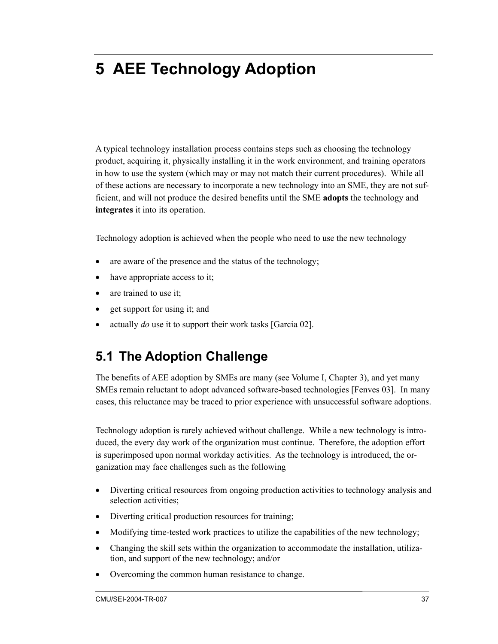# **5 AEE Technology Adoption**

A typical technology installation process contains steps such as choosing the technology product, acquiring it, physically installing it in the work environment, and training operators in how to use the system (which may or may not match their current procedures). While all of these actions are necessary to incorporate a new technology into an SME, they are not sufficient, and will not produce the desired benefits until the SME **adopts** the technology and **integrates** it into its operation.

Technology adoption is achieved when the people who need to use the new technology

- are aware of the presence and the status of the technology;
- have appropriate access to it;
- are trained to use it;
- get support for using it; and
- actually *do* use it to support their work tasks [Garcia 02].

### **5.1 The Adoption Challenge**

The benefits of AEE adoption by SMEs are many (see Volume I, Chapter 3), and yet many SMEs remain reluctant to adopt advanced software-based technologies [Fenves 03]. In many cases, this reluctance may be traced to prior experience with unsuccessful software adoptions.

Technology adoption is rarely achieved without challenge. While a new technology is introduced, the every day work of the organization must continue. Therefore, the adoption effort is superimposed upon normal workday activities. As the technology is introduced, the organization may face challenges such as the following

- Diverting critical resources from ongoing production activities to technology analysis and selection activities;
- Diverting critical production resources for training;
- Modifying time-tested work practices to utilize the capabilities of the new technology;
- Changing the skill sets within the organization to accommodate the installation, utilization, and support of the new technology; and/or
- Overcoming the common human resistance to change.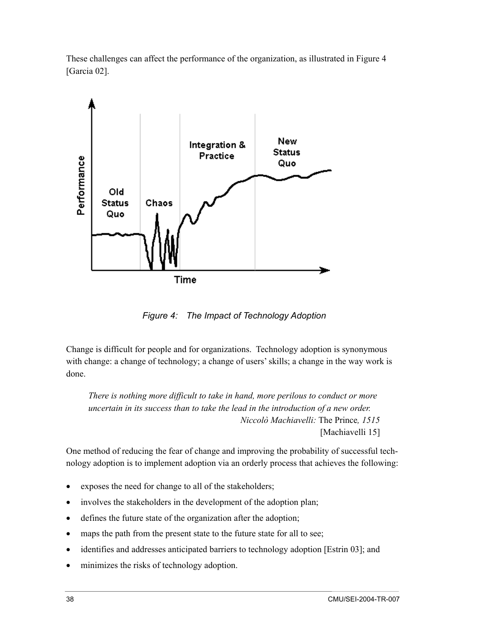These challenges can affect the performance of the organization, as illustrated in Figure 4 [Garcia 02].



*Figure 4: The Impact of Technology Adoption* 

Change is difficult for people and for organizations. Technology adoption is synonymous with change: a change of technology; a change of users' skills; a change in the way work is done.

*There is nothing more difficult to take in hand, more perilous to conduct or more uncertain in its success than to take the lead in the introduction of a new order. Niccolò Machiavelli:* The Prince*, 1515*  [Machiavelli 15]

One method of reducing the fear of change and improving the probability of successful technology adoption is to implement adoption via an orderly process that achieves the following:

- exposes the need for change to all of the stakeholders;
- involves the stakeholders in the development of the adoption plan;
- defines the future state of the organization after the adoption;
- maps the path from the present state to the future state for all to see;
- identifies and addresses anticipated barriers to technology adoption [Estrin 03]; and
- minimizes the risks of technology adoption.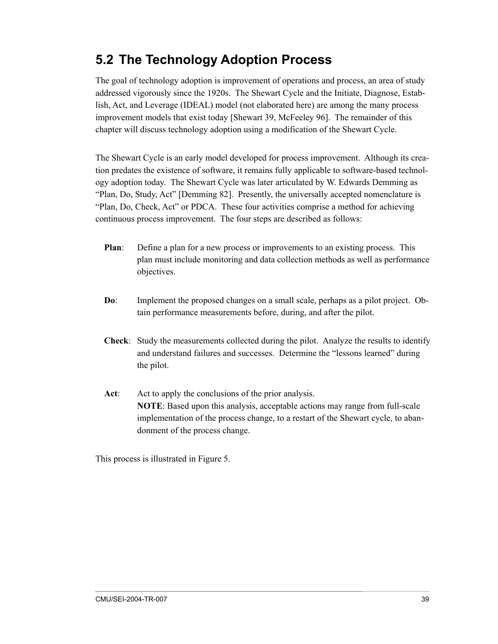### **5.2 The Technology Adoption Process**

The goal of technology adoption is improvement of operations and process, an area of study addressed vigorously since the 1920s. The Shewart Cycle and the Initiate, Diagnose, Establish, Act, and Leverage (IDEAL) model (not elaborated here) are among the many process improvement models that exist today [Shewart 39, McFeeley 96]. The remainder of this chapter will discuss technology adoption using a modification of the Shewart Cycle.

The Shewart Cycle is an early model developed for process improvement. Although its creation predates the existence of software, it remains fully applicable to software-based technology adoption today. The Shewart Cycle was later articulated by W. Edwards Demming as "Plan, Do, Study, Act" [Demming 82]. Presently, the universally accepted nomenclature is "Plan, Do, Check, Act" or PDCA. These four activities comprise a method for achieving continuous process improvement. The four steps are described as follows:

- **Plan**: Define a plan for a new process or improvements to an existing process. This plan must include monitoring and data collection methods as well as performance objectives.
- **Do**: Implement the proposed changes on a small scale, perhaps as a pilot project. Obtain performance measurements before, during, and after the pilot.
- **Check**: Study the measurements collected during the pilot. Analyze the results to identify and understand failures and successes. Determine the "lessons learned" during the pilot.
- Act: Act to apply the conclusions of the prior analysis. **NOTE**: Based upon this analysis, acceptable actions may range from full-scale implementation of the process change, to a restart of the Shewart cycle, to abandonment of the process change.

This process is illustrated in Figure 5.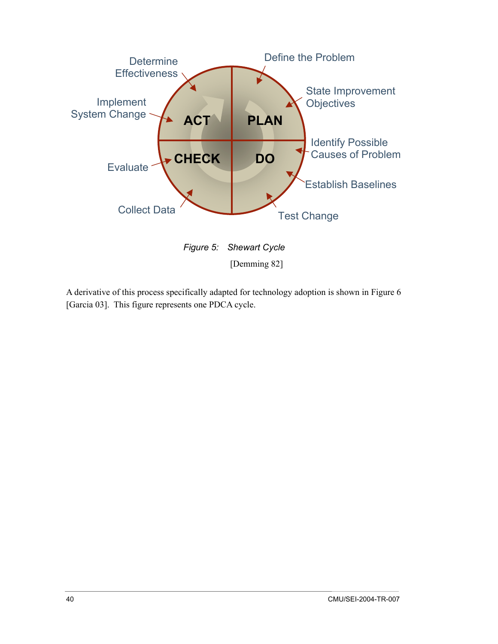

A derivative of this process specifically adapted for technology adoption is shown in Figure 6 [Garcia 03]. This figure represents one PDCA cycle.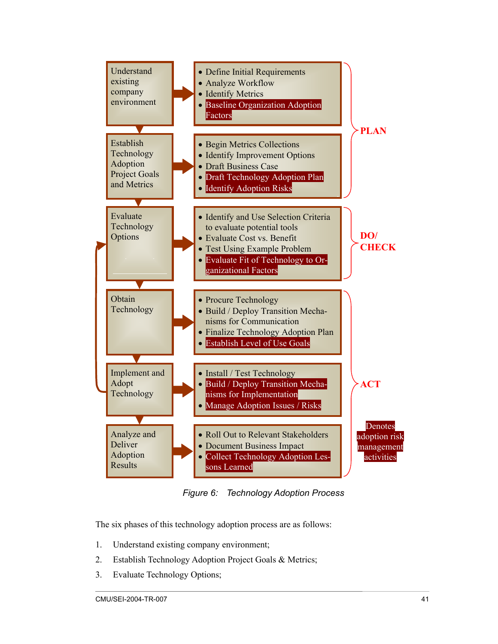

*Figure 6: Technology Adoption Process* 

The six phases of this technology adoption process are as follows:

- 1. Understand existing company environment;
- 2. Establish Technology Adoption Project Goals & Metrics;
- 3. Evaluate Technology Options;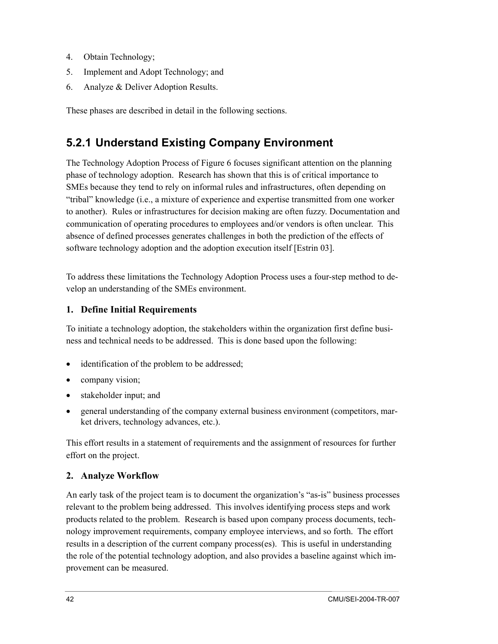- 4. Obtain Technology;
- 5. Implement and Adopt Technology; and
- 6. Analyze & Deliver Adoption Results.

These phases are described in detail in the following sections.

### **5.2.1 Understand Existing Company Environment**

The Technology Adoption Process of Figure 6 focuses significant attention on the planning phase of technology adoption. Research has shown that this is of critical importance to SMEs because they tend to rely on informal rules and infrastructures, often depending on "tribal" knowledge (i.e., a mixture of experience and expertise transmitted from one worker to another). Rules or infrastructures for decision making are often fuzzy. Documentation and communication of operating procedures to employees and/or vendors is often unclear. This absence of defined processes generates challenges in both the prediction of the effects of software technology adoption and the adoption execution itself [Estrin 03].

To address these limitations the Technology Adoption Process uses a four-step method to develop an understanding of the SMEs environment.

#### **1. Define Initial Requirements**

To initiate a technology adoption, the stakeholders within the organization first define business and technical needs to be addressed. This is done based upon the following:

- identification of the problem to be addressed;
- company vision;
- stakeholder input; and
- general understanding of the company external business environment (competitors, market drivers, technology advances, etc.).

This effort results in a statement of requirements and the assignment of resources for further effort on the project.

#### **2. Analyze Workflow**

An early task of the project team is to document the organization's "as-is" business processes relevant to the problem being addressed. This involves identifying process steps and work products related to the problem. Research is based upon company process documents, technology improvement requirements, company employee interviews, and so forth. The effort results in a description of the current company process(es). This is useful in understanding the role of the potential technology adoption, and also provides a baseline against which improvement can be measured.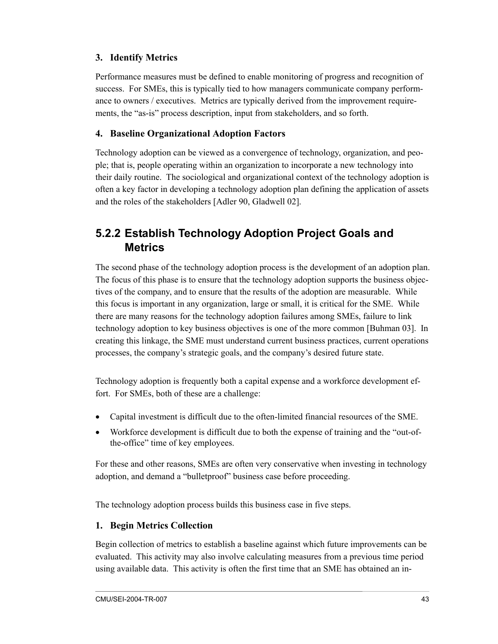#### **3. Identify Metrics**

Performance measures must be defined to enable monitoring of progress and recognition of success. For SMEs, this is typically tied to how managers communicate company performance to owners / executives. Metrics are typically derived from the improvement requirements, the "as-is" process description, input from stakeholders, and so forth.

#### **4. Baseline Organizational Adoption Factors**

Technology adoption can be viewed as a convergence of technology, organization, and people; that is, people operating within an organization to incorporate a new technology into their daily routine. The sociological and organizational context of the technology adoption is often a key factor in developing a technology adoption plan defining the application of assets and the roles of the stakeholders [Adler 90, Gladwell 02].

### **5.2.2 Establish Technology Adoption Project Goals and Metrics**

The second phase of the technology adoption process is the development of an adoption plan. The focus of this phase is to ensure that the technology adoption supports the business objectives of the company, and to ensure that the results of the adoption are measurable. While this focus is important in any organization, large or small, it is critical for the SME. While there are many reasons for the technology adoption failures among SMEs, failure to link technology adoption to key business objectives is one of the more common [Buhman 03]. In creating this linkage, the SME must understand current business practices, current operations processes, the company's strategic goals, and the company's desired future state.

Technology adoption is frequently both a capital expense and a workforce development effort. For SMEs, both of these are a challenge:

- Capital investment is difficult due to the often-limited financial resources of the SME.
- Workforce development is difficult due to both the expense of training and the "out-ofthe-office" time of key employees.

For these and other reasons, SMEs are often very conservative when investing in technology adoption, and demand a "bulletproof" business case before proceeding.

The technology adoption process builds this business case in five steps.

#### **1. Begin Metrics Collection**

Begin collection of metrics to establish a baseline against which future improvements can be evaluated. This activity may also involve calculating measures from a previous time period using available data. This activity is often the first time that an SME has obtained an in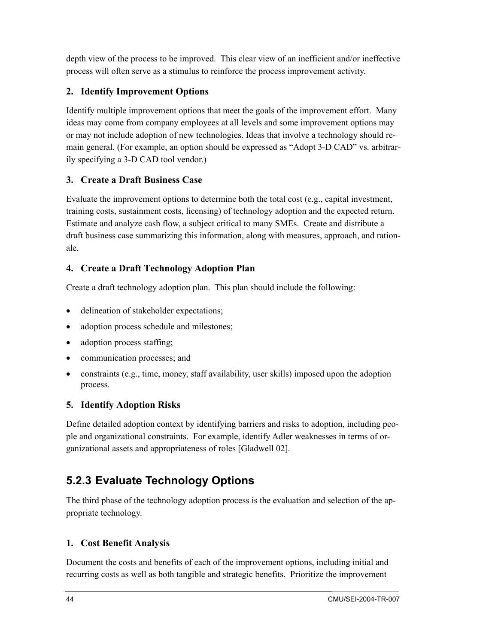depth view of the process to be improved. This clear view of an inefficient and/or ineffective process will often serve as a stimulus to reinforce the process improvement activity.

#### **2. Identify Improvement Options**

Identify multiple improvement options that meet the goals of the improvement effort. Many ideas may come from company employees at all levels and some improvement options may or may not include adoption of new technologies. Ideas that involve a technology should remain general. (For example, an option should be expressed as "Adopt 3-D CAD" vs. arbitrarily specifying a 3-D CAD tool vendor.)

#### **3. Create a Draft Business Case**

Evaluate the improvement options to determine both the total cost (e.g., capital investment, training costs, sustainment costs, licensing) of technology adoption and the expected return. Estimate and analyze cash flow, a subject critical to many SMEs. Create and distribute a draft business case summarizing this information, along with measures, approach, and rationale.

#### **4. Create a Draft Technology Adoption Plan**

Create a draft technology adoption plan. This plan should include the following:

- delineation of stakeholder expectations;
- adoption process schedule and milestones;
- adoption process staffing;
- communication processes; and
- constraints (e.g., time, money, staff availability, user skills) imposed upon the adoption process.

#### **5. Identify Adoption Risks**

Define detailed adoption context by identifying barriers and risks to adoption, including people and organizational constraints. For example, identify Adler weaknesses in terms of organizational assets and appropriateness of roles [Gladwell 02].

### **5.2.3 Evaluate Technology Options**

The third phase of the technology adoption process is the evaluation and selection of the appropriate technology.

#### **1. Cost Benefit Analysis**

Document the costs and benefits of each of the improvement options, including initial and recurring costs as well as both tangible and strategic benefits. Prioritize the improvement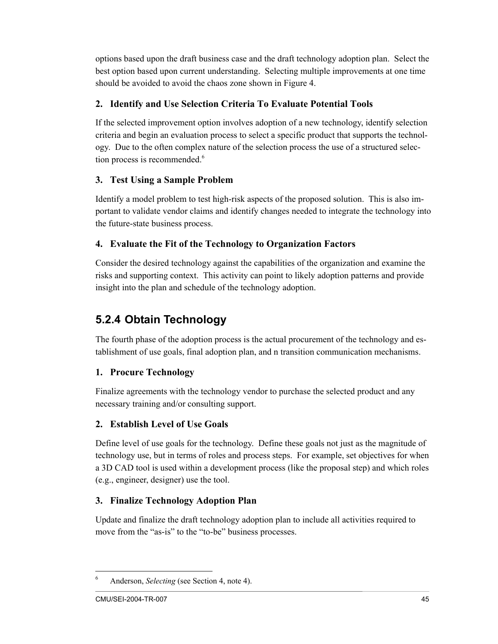options based upon the draft business case and the draft technology adoption plan. Select the best option based upon current understanding. Selecting multiple improvements at one time should be avoided to avoid the chaos zone shown in Figure 4.

#### **2. Identify and Use Selection Criteria To Evaluate Potential Tools**

If the selected improvement option involves adoption of a new technology, identify selection criteria and begin an evaluation process to select a specific product that supports the technology. Due to the often complex nature of the selection process the use of a structured selection process is recommended.<sup>6</sup>

#### **3. Test Using a Sample Problem**

Identify a model problem to test high-risk aspects of the proposed solution. This is also important to validate vendor claims and identify changes needed to integrate the technology into the future-state business process.

#### **4. Evaluate the Fit of the Technology to Organization Factors**

Consider the desired technology against the capabilities of the organization and examine the risks and supporting context. This activity can point to likely adoption patterns and provide insight into the plan and schedule of the technology adoption.

### **5.2.4 Obtain Technology**

The fourth phase of the adoption process is the actual procurement of the technology and establishment of use goals, final adoption plan, and n transition communication mechanisms.

#### **1. Procure Technology**

Finalize agreements with the technology vendor to purchase the selected product and any necessary training and/or consulting support.

#### **2. Establish Level of Use Goals**

Define level of use goals for the technology. Define these goals not just as the magnitude of technology use, but in terms of roles and process steps. For example, set objectives for when a 3D CAD tool is used within a development process (like the proposal step) and which roles (e.g., engineer, designer) use the tool.

### **3. Finalize Technology Adoption Plan**

Update and finalize the draft technology adoption plan to include all activities required to move from the "as-is" to the "to-be" business processes.

<sup>1</sup> 6 Anderson, *Selecting* (see Section 4, note 4).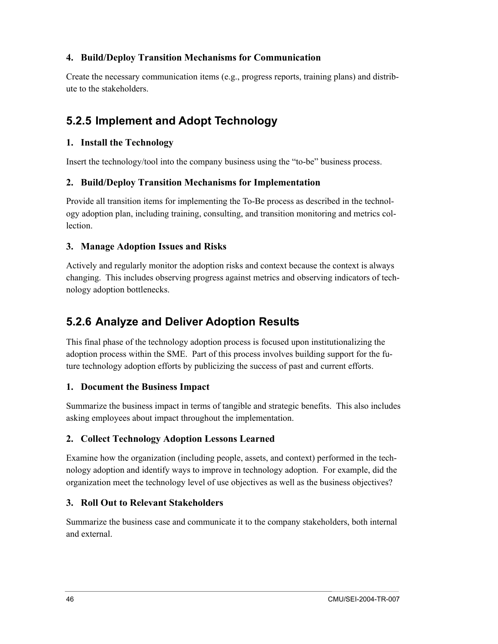#### **4. Build/Deploy Transition Mechanisms for Communication**

Create the necessary communication items (e.g., progress reports, training plans) and distribute to the stakeholders.

### **5.2.5 Implement and Adopt Technology**

#### **1. Install the Technology**

Insert the technology/tool into the company business using the "to-be" business process.

#### **2. Build/Deploy Transition Mechanisms for Implementation**

Provide all transition items for implementing the To-Be process as described in the technology adoption plan, including training, consulting, and transition monitoring and metrics col**lection** 

#### **3. Manage Adoption Issues and Risks**

Actively and regularly monitor the adoption risks and context because the context is always changing. This includes observing progress against metrics and observing indicators of technology adoption bottlenecks.

### **5.2.6 Analyze and Deliver Adoption Results**

This final phase of the technology adoption process is focused upon institutionalizing the adoption process within the SME. Part of this process involves building support for the future technology adoption efforts by publicizing the success of past and current efforts.

#### **1. Document the Business Impact**

Summarize the business impact in terms of tangible and strategic benefits. This also includes asking employees about impact throughout the implementation.

#### **2. Collect Technology Adoption Lessons Learned**

Examine how the organization (including people, assets, and context) performed in the technology adoption and identify ways to improve in technology adoption. For example, did the organization meet the technology level of use objectives as well as the business objectives?

#### **3. Roll Out to Relevant Stakeholders**

Summarize the business case and communicate it to the company stakeholders, both internal and external.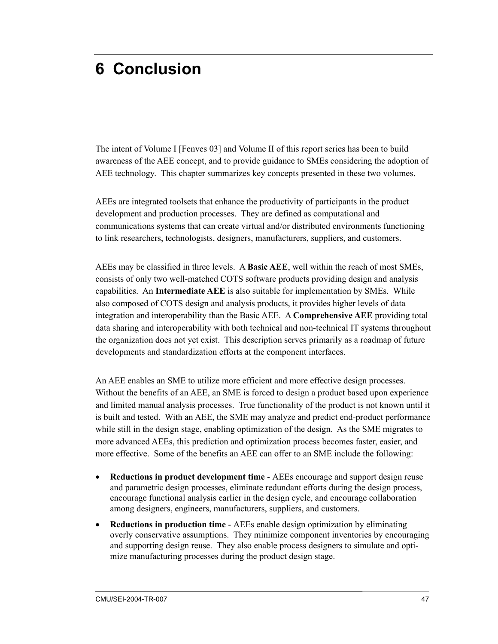# **6 Conclusion**

The intent of Volume I [Fenves 03] and Volume II of this report series has been to build awareness of the AEE concept, and to provide guidance to SMEs considering the adoption of AEE technology. This chapter summarizes key concepts presented in these two volumes.

AEEs are integrated toolsets that enhance the productivity of participants in the product development and production processes. They are defined as computational and communications systems that can create virtual and/or distributed environments functioning to link researchers, technologists, designers, manufacturers, suppliers, and customers.

AEEs may be classified in three levels. A **Basic AEE**, well within the reach of most SMEs, consists of only two well-matched COTS software products providing design and analysis capabilities. An **Intermediate AEE** is also suitable for implementation by SMEs. While also composed of COTS design and analysis products, it provides higher levels of data integration and interoperability than the Basic AEE. A **Comprehensive AEE** providing total data sharing and interoperability with both technical and non-technical IT systems throughout the organization does not yet exist. This description serves primarily as a roadmap of future developments and standardization efforts at the component interfaces.

An AEE enables an SME to utilize more efficient and more effective design processes. Without the benefits of an AEE, an SME is forced to design a product based upon experience and limited manual analysis processes. True functionality of the product is not known until it is built and tested. With an AEE, the SME may analyze and predict end-product performance while still in the design stage, enabling optimization of the design. As the SME migrates to more advanced AEEs, this prediction and optimization process becomes faster, easier, and more effective. Some of the benefits an AEE can offer to an SME include the following:

- **Reductions in product development time**  AEEs encourage and support design reuse and parametric design processes, eliminate redundant efforts during the design process, encourage functional analysis earlier in the design cycle, and encourage collaboration among designers, engineers, manufacturers, suppliers, and customers.
- **Reductions in production time** AEEs enable design optimization by eliminating overly conservative assumptions. They minimize component inventories by encouraging and supporting design reuse. They also enable process designers to simulate and optimize manufacturing processes during the product design stage.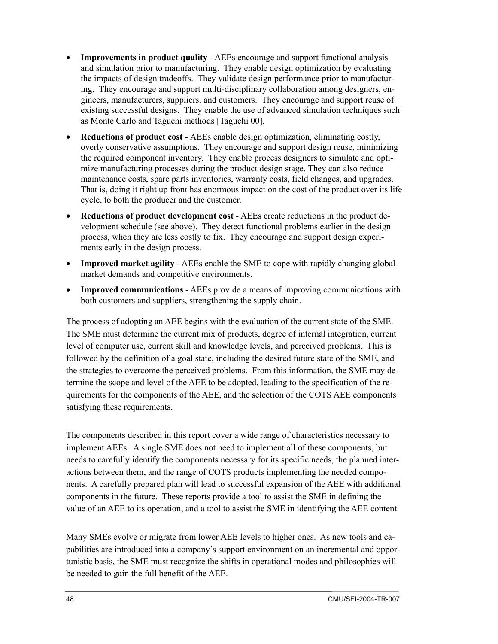- **Improvements in product quality** AEEs encourage and support functional analysis and simulation prior to manufacturing. They enable design optimization by evaluating the impacts of design tradeoffs. They validate design performance prior to manufacturing. They encourage and support multi-disciplinary collaboration among designers, engineers, manufacturers, suppliers, and customers. They encourage and support reuse of existing successful designs. They enable the use of advanced simulation techniques such as Monte Carlo and Taguchi methods [Taguchi 00].
- **Reductions of product cost** AEEs enable design optimization, eliminating costly, overly conservative assumptions. They encourage and support design reuse, minimizing the required component inventory. They enable process designers to simulate and optimize manufacturing processes during the product design stage. They can also reduce maintenance costs, spare parts inventories, warranty costs, field changes, and upgrades. That is, doing it right up front has enormous impact on the cost of the product over its life cycle, to both the producer and the customer.
- **Reductions of product development cost** AEEs create reductions in the product development schedule (see above). They detect functional problems earlier in the design process, when they are less costly to fix. They encourage and support design experiments early in the design process.
- **Improved market agility** AEEs enable the SME to cope with rapidly changing global market demands and competitive environments.
- **Improved communications** AEEs provide a means of improving communications with both customers and suppliers, strengthening the supply chain.

The process of adopting an AEE begins with the evaluation of the current state of the SME. The SME must determine the current mix of products, degree of internal integration, current level of computer use, current skill and knowledge levels, and perceived problems. This is followed by the definition of a goal state, including the desired future state of the SME, and the strategies to overcome the perceived problems. From this information, the SME may determine the scope and level of the AEE to be adopted, leading to the specification of the requirements for the components of the AEE, and the selection of the COTS AEE components satisfying these requirements.

The components described in this report cover a wide range of characteristics necessary to implement AEEs. A single SME does not need to implement all of these components, but needs to carefully identify the components necessary for its specific needs, the planned interactions between them, and the range of COTS products implementing the needed components. A carefully prepared plan will lead to successful expansion of the AEE with additional components in the future. These reports provide a tool to assist the SME in defining the value of an AEE to its operation, and a tool to assist the SME in identifying the AEE content.

Many SMEs evolve or migrate from lower AEE levels to higher ones. As new tools and capabilities are introduced into a company's support environment on an incremental and opportunistic basis, the SME must recognize the shifts in operational modes and philosophies will be needed to gain the full benefit of the AEE.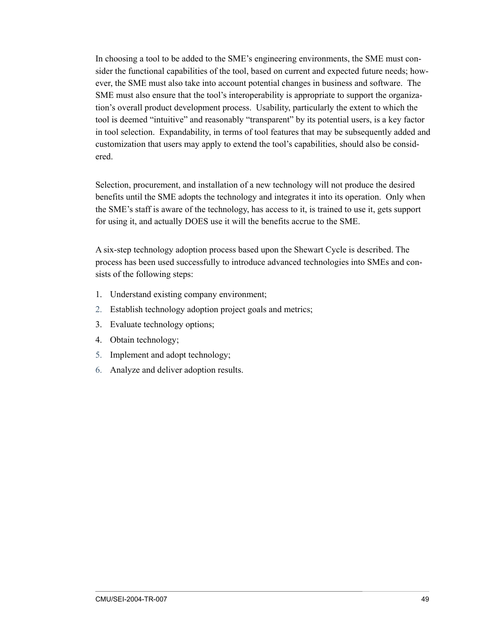In choosing a tool to be added to the SME's engineering environments, the SME must consider the functional capabilities of the tool, based on current and expected future needs; however, the SME must also take into account potential changes in business and software. The SME must also ensure that the tool's interoperability is appropriate to support the organization's overall product development process. Usability, particularly the extent to which the tool is deemed "intuitive" and reasonably "transparent" by its potential users, is a key factor in tool selection. Expandability, in terms of tool features that may be subsequently added and customization that users may apply to extend the tool's capabilities, should also be considered.

Selection, procurement, and installation of a new technology will not produce the desired benefits until the SME adopts the technology and integrates it into its operation. Only when the SME's staff is aware of the technology, has access to it, is trained to use it, gets support for using it, and actually DOES use it will the benefits accrue to the SME.

A six-step technology adoption process based upon the Shewart Cycle is described. The process has been used successfully to introduce advanced technologies into SMEs and consists of the following steps:

- 1. Understand existing company environment;
- 2. Establish technology adoption project goals and metrics;
- 3. Evaluate technology options;
- 4. Obtain technology;
- 5. Implement and adopt technology;
- 6. Analyze and deliver adoption results.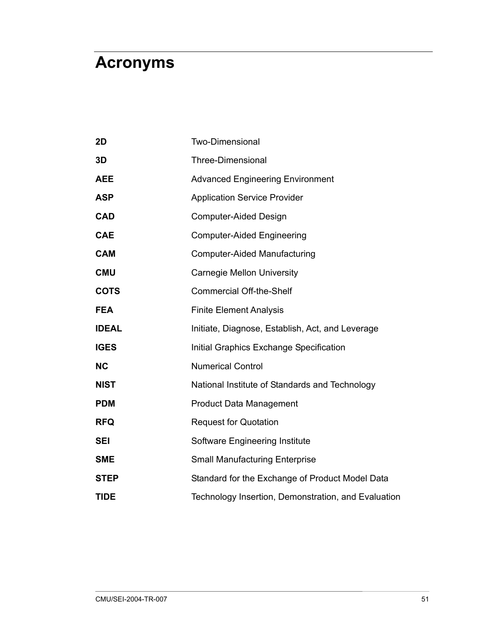# **Acronyms**

| 2D           | <b>Two-Dimensional</b>                              |
|--------------|-----------------------------------------------------|
| 3D           | <b>Three-Dimensional</b>                            |
| <b>AEE</b>   | <b>Advanced Engineering Environment</b>             |
| <b>ASP</b>   | <b>Application Service Provider</b>                 |
| <b>CAD</b>   | <b>Computer-Aided Design</b>                        |
| <b>CAE</b>   | <b>Computer-Aided Engineering</b>                   |
| <b>CAM</b>   | <b>Computer-Aided Manufacturing</b>                 |
| <b>CMU</b>   | <b>Carnegie Mellon University</b>                   |
| <b>COTS</b>  | <b>Commercial Off-the-Shelf</b>                     |
| <b>FEA</b>   | <b>Finite Element Analysis</b>                      |
| <b>IDEAL</b> | Initiate, Diagnose, Establish, Act, and Leverage    |
| <b>IGES</b>  | Initial Graphics Exchange Specification             |
| <b>NC</b>    | <b>Numerical Control</b>                            |
| <b>NIST</b>  | National Institute of Standards and Technology      |
| <b>PDM</b>   | <b>Product Data Management</b>                      |
| <b>RFQ</b>   | <b>Request for Quotation</b>                        |
| <b>SEI</b>   | <b>Software Engineering Institute</b>               |
| <b>SME</b>   | <b>Small Manufacturing Enterprise</b>               |
| <b>STEP</b>  | Standard for the Exchange of Product Model Data     |
| <b>TIDE</b>  | Technology Insertion, Demonstration, and Evaluation |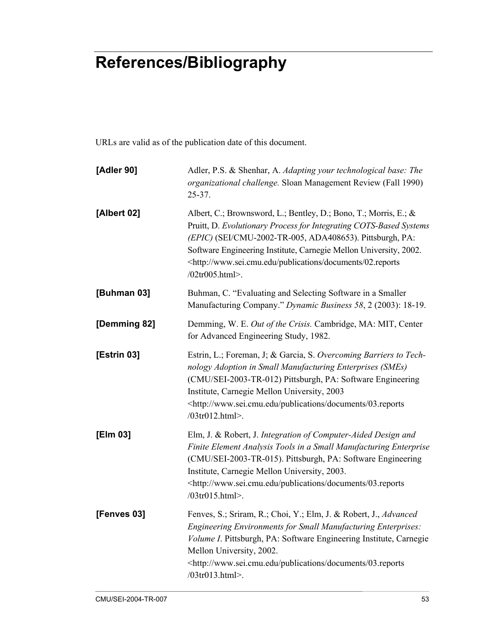# **References/Bibliography**

URLs are valid as of the publication date of this document.

| [Adler 90]   | Adler, P.S. & Shenhar, A. Adapting your technological base: The<br>organizational challenge. Sloan Management Review (Fall 1990)<br>$25 - 37$ .                                                                                                                                                                                                                                                     |  |  |  |
|--------------|-----------------------------------------------------------------------------------------------------------------------------------------------------------------------------------------------------------------------------------------------------------------------------------------------------------------------------------------------------------------------------------------------------|--|--|--|
| [Albert 02]  | Albert, C.; Brownsword, L.; Bentley, D.; Bono, T.; Morris, E.; &<br>Pruitt, D. Evolutionary Process for Integrating COTS-Based Systems<br>(EPIC) (SEI/CMU-2002-TR-005, ADA408653). Pittsburgh, PA:<br>Software Engineering Institute, Carnegie Mellon University, 2002.<br><http: 02.reports<br="" documents="" publications="" www.sei.cmu.edu=""><math>/02</math>tr<math>005.html</math>.</http:> |  |  |  |
| [Buhman 03]  | Buhman, C. "Evaluating and Selecting Software in a Smaller<br>Manufacturing Company." Dynamic Business 58, 2 (2003): 18-19.                                                                                                                                                                                                                                                                         |  |  |  |
| [Demming 82] | Demming, W. E. Out of the Crisis. Cambridge, MA: MIT, Center<br>for Advanced Engineering Study, 1982.                                                                                                                                                                                                                                                                                               |  |  |  |
| [Estrin 03]  | Estrin, L.; Foreman, J; & Garcia, S. Overcoming Barriers to Tech-<br>nology Adoption in Small Manufacturing Enterprises (SMEs)<br>(CMU/SEI-2003-TR-012) Pittsburgh, PA: Software Engineering<br>Institute, Carnegie Mellon University, 2003<br><http: 03.reports<br="" documents="" publications="" www.sei.cmu.edu="">/03tr012.html&gt;.</http:>                                                   |  |  |  |
| [Elm 03]     | Elm, J. & Robert, J. Integration of Computer-Aided Design and<br>Finite Element Analysis Tools in a Small Manufacturing Enterprise<br>(CMU/SEI-2003-TR-015). Pittsburgh, PA: Software Engineering<br>Institute, Carnegie Mellon University, 2003.<br><http: 03.reports<br="" documents="" publications="" www.sei.cmu.edu="">/03tr015.html&gt;.</http:>                                             |  |  |  |
| [Fenves 03]  | Fenves, S.; Sriram, R.; Choi, Y.; Elm, J. & Robert, J., Advanced<br><b>Engineering Environments for Small Manufacturing Enterprises:</b><br>Volume I. Pittsburgh, PA: Software Engineering Institute, Carnegie<br>Mellon University, 2002.<br><http: 03.reports<br="" documents="" publications="" www.sei.cmu.edu="">/03tr013.html&gt;.</http:>                                                    |  |  |  |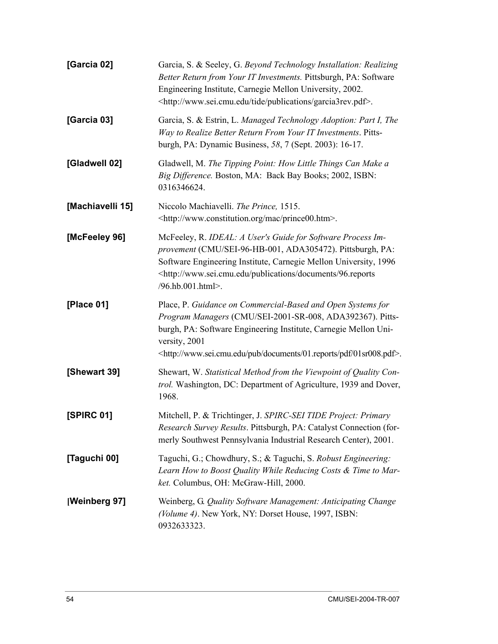| [Garcia 02]      | Garcia, S. & Seeley, G. Beyond Technology Installation: Realizing<br>Better Return from Your IT Investments. Pittsburgh, PA: Software<br>Engineering Institute, Carnegie Mellon University, 2002.<br><http: garcia3rev.pdf="" publications="" tide="" www.sei.cmu.edu="">.</http:>                          |  |  |  |  |
|------------------|-------------------------------------------------------------------------------------------------------------------------------------------------------------------------------------------------------------------------------------------------------------------------------------------------------------|--|--|--|--|
| [Garcia 03]      | Garcia, S. & Estrin, L. Managed Technology Adoption: Part I, The<br>Way to Realize Better Return From Your IT Investments. Pitts-<br>burgh, PA: Dynamic Business, 58, 7 (Sept. 2003): 16-17.                                                                                                                |  |  |  |  |
| [Gladwell 02]    | Gladwell, M. The Tipping Point: How Little Things Can Make a<br>Big Difference. Boston, MA: Back Bay Books; 2002, ISBN:<br>0316346624.                                                                                                                                                                      |  |  |  |  |
| [Machiavelli 15] | Niccolo Machiavelli. The Prince, 1515.<br><http: mac="" prince00.htm="" www.constitution.org="">.</http:>                                                                                                                                                                                                   |  |  |  |  |
| [McFeeley 96]    | McFeeley, R. IDEAL: A User's Guide for Software Process Im-<br>provement (CMU/SEI-96-HB-001, ADA305472). Pittsburgh, PA:<br>Software Engineering Institute, Carnegie Mellon University, 1996<br><http: 96.reports<br="" documents="" publications="" www.sei.cmu.edu="">/96.hb.001.html&gt;.</http:>        |  |  |  |  |
| [Place 01]       | Place, P. Guidance on Commercial-Based and Open Systems for<br>Program Managers (CMU/SEI-2001-SR-008, ADA392367). Pitts-<br>burgh, PA: Software Engineering Institute, Carnegie Mellon Uni-<br>versity, 2001<br><http: 01.reports="" 01sr008.pdf="" documents="" pdf="" pub="" www.sei.cmu.edu="">.</http:> |  |  |  |  |
| [Shewart 39]     | Shewart, W. Statistical Method from the Viewpoint of Quality Con-<br>trol. Washington, DC: Department of Agriculture, 1939 and Dover,<br>1968.                                                                                                                                                              |  |  |  |  |
| [SPIRC 01]       | Mitchell, P. & Trichtinger, J. SPIRC-SEI TIDE Project: Primary<br>Research Survey Results. Pittsburgh, PA: Catalyst Connection (for-<br>merly Southwest Pennsylvania Industrial Research Center), 2001.                                                                                                     |  |  |  |  |
| [Taguchi 00]     | Taguchi, G.; Chowdhury, S.; & Taguchi, S. Robust Engineering:<br>Learn How to Boost Quality While Reducing Costs & Time to Mar-<br>ket. Columbus, OH: McGraw-Hill, 2000.                                                                                                                                    |  |  |  |  |
| [Weinberg 97]    | Weinberg, G. Quality Software Management: Anticipating Change<br>(Volume 4). New York, NY: Dorset House, 1997, ISBN:<br>0932633323.                                                                                                                                                                         |  |  |  |  |